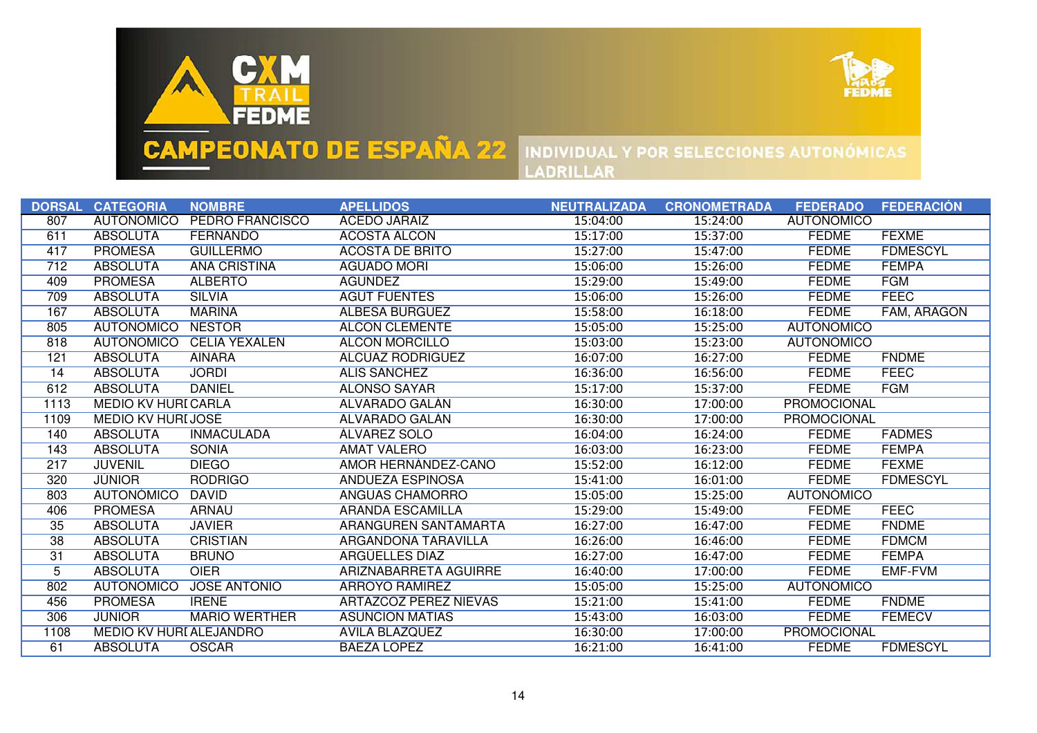



|                | DORSAL CATEGORIA               | <b>NOMBRE</b>          | <b>APELLIDOS</b>             | <b>NEUTRALIZADA</b> | <b>CRONOMETRADA</b> | <b>FEDERADO</b>   | <b>FEDERACIÓN</b> |
|----------------|--------------------------------|------------------------|------------------------------|---------------------|---------------------|-------------------|-------------------|
| 807            | <b>AUTONÓMICO</b>              | <b>PEDRO FRANCISCO</b> | <b>ACEDO JARAIZ</b>          | 15:04:00            | 15:24:00            | <b>AUTONÓMICO</b> |                   |
| 611            | <b>ABSOLUTA</b>                | <b>FERNANDO</b>        | <b>ACOSTA ALCÓN</b>          | 15:17:00            | 15:37:00            | <b>FEDME</b>      | <b>FEXME</b>      |
| 417            | <b>PROMESA</b>                 | <b>GUILLERMO</b>       | <b>ACOSTA DE BRITO</b>       | 15:27:00            | 15:47:00            | <b>FEDME</b>      | <b>FDMESCYL</b>   |
| 712            | <b>ABSOLUTA</b>                | <b>ANA CRISTINA</b>    | <b>AGUADO MORI</b>           | 15:06:00            | 15:26:00            | <b>FEDME</b>      | <b>FEMPA</b>      |
| 409            | <b>PROMESA</b>                 | <b>ALBERTO</b>         | <b>AGUNDEZ</b>               | 15:29:00            | 15:49:00            | <b>FEDME</b>      | <b>FGM</b>        |
| 709            | <b>ABSOLUTA</b>                | <b>SILVIA</b>          | <b>AGUT FUENTES</b>          | 15:06:00            | 15:26:00            | <b>FEDME</b>      | <b>FEEC</b>       |
| 167            | <b>ABSOLUTA</b>                | <b>MARINA</b>          | <b>ALBESA BURGUEZ</b>        | 15:58:00            | 16:18:00            | <b>FEDME</b>      | FAM, ARAGÓN       |
| 805            | <b>AUTONÓMICO</b>              | <b>NESTOR</b>          | <b>ALCON CLEMENTE</b>        | 15:05:00            | 15:25:00            | <b>AUTONÓMICO</b> |                   |
| 818            | <b>AUTONÓMICO</b>              | <b>CELIA YEXALEN</b>   | <b>ALCON MORCILLO</b>        | 15:03:00            | 15:23:00            | <b>AUTONÓMICO</b> |                   |
| 121            | <b>ABSOLUTA</b>                | <b>AINARA</b>          | <b>ALCUAZ RODRIGUEZ</b>      | 16:07:00            | 16:27:00            | <b>FEDME</b>      | <b>FNDME</b>      |
| 14             | <b>ABSOLUTA</b>                | <b>JORDI</b>           | <b>ALIS SANCHEZ</b>          | 16:36:00            | 16:56:00            | <b>FEDME</b>      | <b>FEEC</b>       |
| 612            | <b>ABSOLUTA</b>                | <b>DANIEL</b>          | <b>ALONSO SAYAR</b>          | 15:17:00            | 15:37:00            | <b>FEDME</b>      | <b>FGM</b>        |
| 1113           | <b>MEDIO KV HURI CARLA</b>     |                        | <b>ALVARADO GALAN</b>        | 16:30:00            | 17:00:00            | PROMOCIONAL       |                   |
| 1109           | <b>MEDIO KV HURIJOSĖ</b>       |                        | <b>ALVARADO GALAN</b>        | 16:30:00            | 17:00:00            | PROMOCIONAL       |                   |
| 140            | <b>ABSOLUTA</b>                | <b>INMACULADA</b>      | <b>ALVAREZ SOLO</b>          | 16:04:00            | 16:24:00            | <b>FEDME</b>      | <b>FADMES</b>     |
| 143            | <b>ABSOLUTA</b>                | <b>SONIA</b>           | <b>AMAT VALERO</b>           | 16:03:00            | 16:23:00            | <b>FEDME</b>      | <b>FEMPA</b>      |
| 217            | <b>JUVENIL</b>                 | <b>DIEGO</b>           | AMOR HERNANDEZ-CANO          | 15:52:00            | 16:12:00            | <b>FEDME</b>      | <b>FEXME</b>      |
| 320            | <b>JUNIOR</b>                  | <b>RODRIGO</b>         | <b>ANDUEZA ESPINOSA</b>      | 15:41:00            | 16:01:00            | <b>FEDME</b>      | <b>FDMESCYL</b>   |
| 803            | <b>AUTONÓMICO</b>              | <b>DAVID</b>           | ANGUAS CHAMORRO              | 15:05:00            | 15:25:00            | <b>AUTONÓMICO</b> |                   |
| 406            | <b>PROMESA</b>                 | <b>ARNAU</b>           | <b>ARANDA ESCAMILLA</b>      | 15:29:00            | 15:49:00            | <b>FEDME</b>      | <b>FEEC</b>       |
| 35             | <b>ABSOLUTA</b>                | <b>JAVIER</b>          | <b>ARANGUREN SANTAMARTA</b>  | 16:27:00            | 16:47:00            | <b>FEDME</b>      | <b>FNDME</b>      |
| 38             | <b>ABSOLUTA</b>                | <b>CRISTIAN</b>        | <b>ARGANDOÑA TARAVILLA</b>   | 16:26:00            | 16:46:00            | <b>FEDME</b>      | <b>FDMCM</b>      |
| 31             | <b>ABSOLUTA</b>                | <b>BRUNO</b>           | <b>ARGÜELLES DIAZ</b>        | 16:27:00            | 16:47:00            | <b>FEDME</b>      | <b>FEMPA</b>      |
| $\overline{5}$ | <b>ABSOLUTA</b>                | <b>OIER</b>            | ARIZNABARRETA AGUIRRE        | 16:40:00            | 17:00:00            | <b>FEDME</b>      | EMF-FVM           |
| 802            | <b>AUTONÓMICO</b>              | <b>JOSE ANTONIO</b>    | ARROYO RAMIREZ               | 15:05:00            | 15:25:00            | <b>AUTONÓMICO</b> |                   |
| 456            | <b>PROMESA</b>                 | <b>IRENE</b>           | <b>ARTAZCOZ PEREZ NIEVAS</b> | 15:21:00            | 15:41:00            | <b>FEDME</b>      | <b>FNDME</b>      |
| 306            | <b>JUNIOR</b>                  | <b>MARIO WERTHER</b>   | <b>ASUNCIÓN MATÍAS</b>       | 15:43:00            | 16:03:00            | <b>FEDME</b>      | <b>FEMECV</b>     |
| 1108           | <b>MEDIO KV HURI ALEJANDRO</b> |                        | <b>AVILA BLAZQUEZ</b>        | 16:30:00            | 17:00:00            | PROMOCIONAL       |                   |
| 61             | <b>ABSOLUTA</b>                | <b>OSCAR</b>           | <b>BAEZA LÓPEZ</b>           | 16:21:00            | 16:41:00            | <b>FEDME</b>      | <b>FDMESCYL</b>   |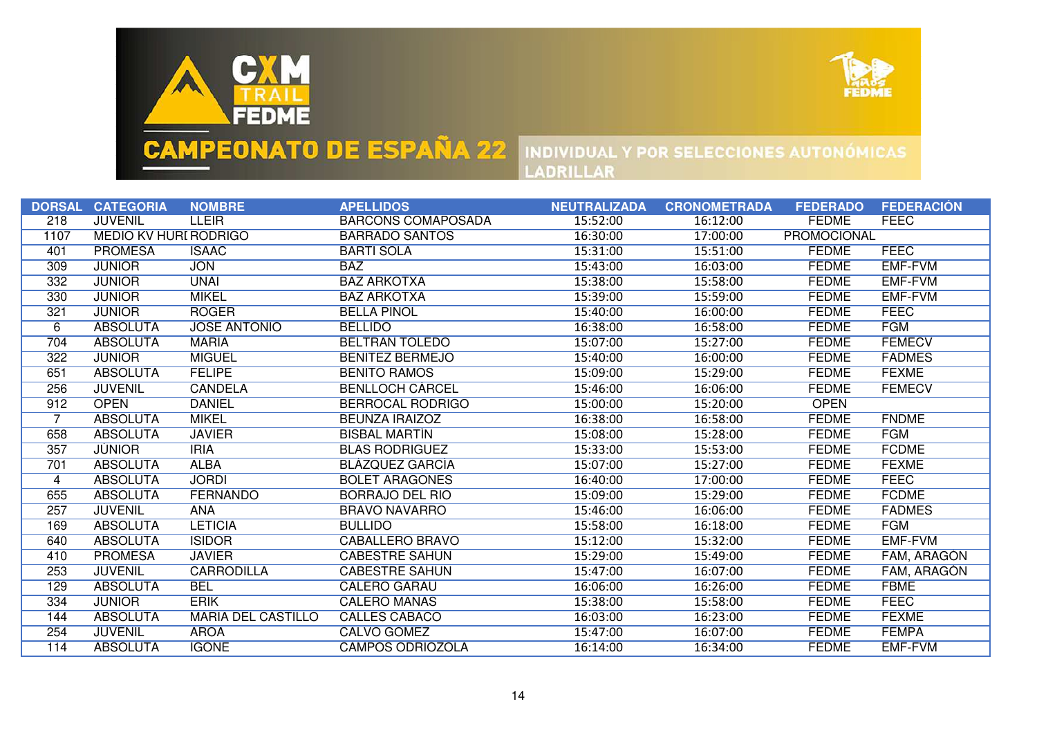



|                | DORSAL CATEGORIA             | <b>NOMBRE</b>             | <b>APELLIDOS</b>          | <b>NEUTRALIZADA</b> | <b>CRONOMETRADA</b> | <b>FEDERADO</b>    | <b>FEDERACIÓN</b> |
|----------------|------------------------------|---------------------------|---------------------------|---------------------|---------------------|--------------------|-------------------|
| 218            | <b>JUVENIL</b>               | <b>LLEIR</b>              | <b>BARCONS COMAPOSADA</b> | 15:52:00            | 16:12:00            | <b>FEDME</b>       | <b>FEEC</b>       |
| 1107           | <b>MEDIO KV HURI RODRIGO</b> |                           | <b>BARRADO SANTOS</b>     | 16:30:00            | 17:00:00            | <b>PROMOCIONAL</b> |                   |
| 401            | <b>PROMESA</b>               | <b>ISAAC</b>              | <b>BARTI SOLA</b>         | 15:31:00            | 15:51:00            | <b>FEDME</b>       | <b>FEEC</b>       |
| 309            | <b>JUNIOR</b>                | <b>JON</b>                | <b>BAZ</b>                | 15:43:00            | 16:03:00            | <b>FEDME</b>       | <b>EMF-FVM</b>    |
| 332            | <b>JUNIOR</b>                | <b>UNAI</b>               | <b>BAZ ARKOTXA</b>        | 15:38:00            | 15:58:00            | <b>FEDME</b>       | EMF-FVM           |
| 330            | <b>JÚNIOR</b>                | <b>MIKEL</b>              | <b>BAZ ARKOTXA</b>        | 15:39:00            | 15:59:00            | <b>FEDME</b>       | <b>EMF-FVM</b>    |
| 321            | <b>JUNIOR</b>                | <b>ROGER</b>              | <b>BELLA PIÑOL</b>        | 15:40:00            | 16:00:00            | <b>FEDME</b>       | <b>FEEC</b>       |
| 6              | <b>ABSOLUTA</b>              | <b>JOSE ANTONIO</b>       | <b>BELLIDO</b>            | 16:38:00            | 16:58:00            | <b>FEDME</b>       | <b>FGM</b>        |
| 704            | <b>ABSOLUTA</b>              | <b>MARIA</b>              | <b>BELTRAN TOLEDO</b>     | 15:07:00            | 15:27:00            | <b>FEDME</b>       | <b>FEMECV</b>     |
| 322            | <b>JUNIOR</b>                | <b>MIGUEL</b>             | <b>BENITEZ BERMEJO</b>    | 15:40:00            | 16:00:00            | <b>FEDME</b>       | <b>FADMES</b>     |
| 651            | <b>ABSOLUTA</b>              | <b>FELIPE</b>             | <b>BENITO RAMOS</b>       | 15:09:00            | 15:29:00            | <b>FEDME</b>       | <b>FEXME</b>      |
| 256            | <b>JUVENIL</b>               | <b>CANDELA</b>            | <b>BENLLOCH CARCEL</b>    | 15:46:00            | 16:06:00            | <b>FEDME</b>       | <b>FEMECV</b>     |
| 912            | <b>OPEN</b>                  | <b>DANIEL</b>             | <b>BERROCAL RODRIGO</b>   | 15:00:00            | 15:20:00            | <b>OPEN</b>        |                   |
| $\overline{7}$ | <b>ABSOLUTA</b>              | <b>MIKEL</b>              | <b>BEUNZA IRAIZOZ</b>     | 16:38:00            | 16:58:00            | <b>FEDME</b>       | <b>FNDME</b>      |
| 658            | <b>ABSOLUTA</b>              | <b>JAVIER</b>             | <b>BISBAL MARTIN</b>      | 15:08:00            | 15:28:00            | <b>FEDME</b>       | <b>FGM</b>        |
| 357            | <b>JÚNIOR</b>                | <b>IRIA</b>               | <b>BLAS RODRIGUEZ</b>     | 15:33:00            | 15:53:00            | <b>FEDME</b>       | <b>FCDME</b>      |
| 701            | <b>ABSOLUTA</b>              | <b>ALBA</b>               | <b>BLAZQUEZ GARCIA</b>    | 15:07:00            | 15:27:00            | <b>FEDME</b>       | <b>FEXME</b>      |
| 4              | <b>ABSOLUTA</b>              | <b>JORDI</b>              | <b>BOLET ARAGONES</b>     | 16:40:00            | 17:00:00            | <b>FEDME</b>       | <b>FEEC</b>       |
| 655            | <b>ABSOLUTA</b>              | <b>FERNANDO</b>           | <b>BORRAJO DEL RIO</b>    | 15:09:00            | 15:29:00            | <b>FEDME</b>       | <b>FCDME</b>      |
| 257            | <b>JUVENIL</b>               | <b>ANA</b>                | <b>BRAVO NAVARRO</b>      | 15:46:00            | 16:06:00            | <b>FEDME</b>       | <b>FADMES</b>     |
| 169            | <b>ABSOLUTA</b>              | <b>LETICIA</b>            | <b>BULLIDO</b>            | 15:58:00            | 16:18:00            | <b>FEDME</b>       | <b>FGM</b>        |
| 640            | <b>ABSOLUTA</b>              | <b>ISIDOR</b>             | CABALLERO BRAVO           | 15:12:00            | 15:32:00            | <b>FEDME</b>       | EMF-FVM           |
| 410            | <b>PROMESA</b>               | <b>JAVIER</b>             | <b>CABESTRE SAHUN</b>     | 15:29:00            | 15:49:00            | <b>FEDME</b>       | FAM, ARAGÓN       |
| 253            | <b>JUVENIL</b>               | <b>CARRODILLA</b>         | <b>CABESTRE SAHUN</b>     | 15:47:00            | 16:07:00            | <b>FEDME</b>       | FAM, ARAGÓN       |
| 129            | <b>ABSOLUTA</b>              | <b>BEL</b>                | CALERO GARAU              | 16:06:00            | 16:26:00            | <b>FEDME</b>       | <b>FBME</b>       |
| 334            | <b>JUNIOR</b>                | <b>ERIK</b>               | <b>CALERO MAÑAS</b>       | 15:38:00            | 15:58:00            | <b>FEDME</b>       | <b>FEEC</b>       |
| 144            | <b>ABSOLUTA</b>              | <b>MARIA DEL CASTILLO</b> | <b>CALLES CABACO</b>      | 16:03:00            | 16:23:00            | <b>FEDME</b>       | <b>FEXME</b>      |
| 254            | <b>JUVENIL</b>               | <b>AROA</b>               | <b>CALVO GÓMEZ</b>        | 15:47:00            | 16:07:00            | <b>FEDME</b>       | <b>FEMPA</b>      |
| 114            | <b>ABSOLUTA</b>              | <b>IGONE</b>              | <b>CAMPOS ODRIOZOLA</b>   | 16:14:00            | 16:34:00            | <b>FEDME</b>       | EMF-FVM           |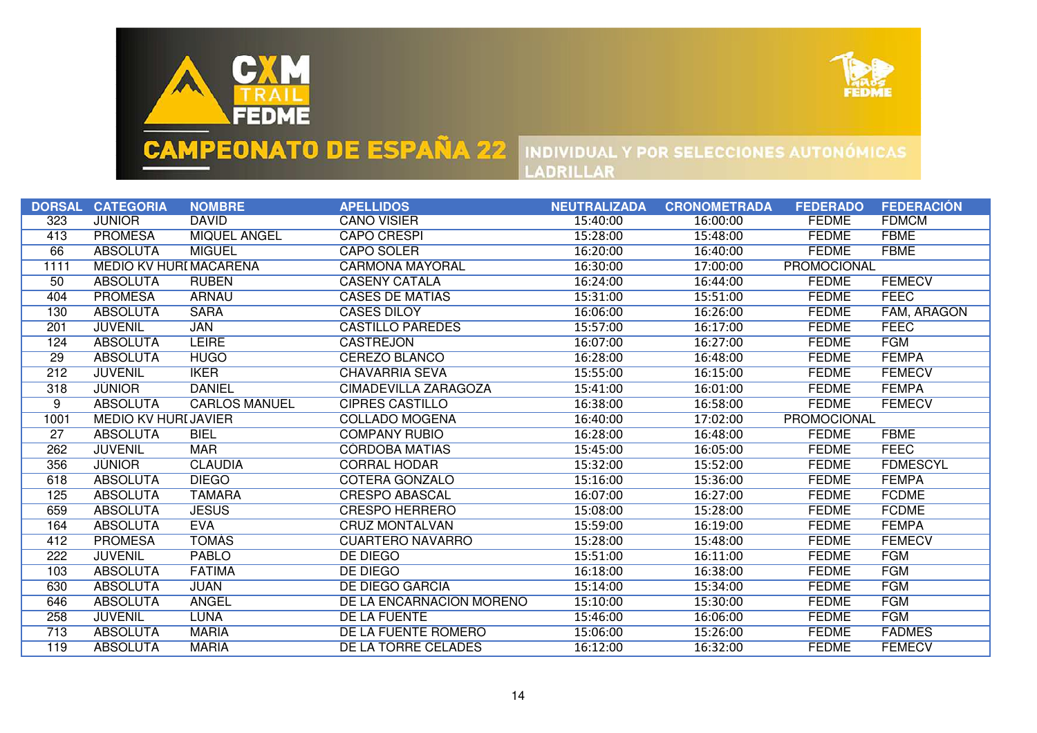



|      | DORSAL CATEGORIA              | <b>NOMBRE</b>        | <b>APELLIDOS</b>         | <b>NEUTRALIZADA</b> | <b>CRONOMETRADA</b> | <b>FEDERADO</b>    | <b>FEDERACIÓN</b> |
|------|-------------------------------|----------------------|--------------------------|---------------------|---------------------|--------------------|-------------------|
| 323  | <b>JÚNIOR</b>                 | <b>DAVID</b>         | <b>CANO VISIER</b>       | 15:40:00            | 16:00:00            | <b>FEDME</b>       | <b>FDMCM</b>      |
| 413  | <b>PROMESA</b>                | <b>MIQUEL ANGEL</b>  | <b>CAPO CRESPI</b>       | 15:28:00            | 15:48:00            | <b>FEDME</b>       | <b>FBME</b>       |
| 66   | <b>ABSOLUTA</b>               | <b>MIGUEL</b>        | <b>CAPO SOLER</b>        | 16:20:00            | 16:40:00            | <b>FEDME</b>       | <b>FBME</b>       |
| 1111 | <b>MEDIO KV HURI MACARENA</b> |                      | <b>CARMONA MAYORAL</b>   | 16:30:00            | 17:00:00            | <b>PROMOCIONAL</b> |                   |
| 50   | <b>ABSOLUTA</b>               | <b>RUBEN</b>         | <b>CASENY CATALA</b>     | 16:24:00            | 16:44:00            | <b>FEDME</b>       | <b>FEMECV</b>     |
| 404  | <b>PROMESA</b>                | <b>ARNAU</b>         | <b>CASES DE MATIAS</b>   | 15:31:00            | 15:51:00            | <b>FEDME</b>       | <b>FEEC</b>       |
| 130  | <b>ABSOLUTA</b>               | <b>SARA</b>          | <b>CASES DILOY</b>       | 16:06:00            | 16:26:00            | <b>FEDME</b>       | FAM, ARAGÓN       |
| 201  | <b>JUVENIL</b>                | <b>JAN</b>           | <b>CASTILLO PAREDES</b>  | 15:57:00            | 16:17:00            | <b>FEDME</b>       | <b>FEEC</b>       |
| 124  | <b>ABSOLUTA</b>               | <b>LEIRE</b>         | <b>CASTREJON</b>         | 16:07:00            | 16:27:00            | <b>FEDME</b>       | <b>FGM</b>        |
| 29   | <b>ABSOLUTA</b>               | <b>HUGO</b>          | <b>CEREZO BLANCO</b>     | 16:28:00            | 16:48:00            | <b>FEDME</b>       | <b>FEMPA</b>      |
| 212  | <b>JUVENIL</b>                | <b>IKER</b>          | <b>CHAVARRIA SEVA</b>    | 15:55:00            | 16:15:00            | <b>FEDME</b>       | <b>FEMECV</b>     |
| 318  | <b>JUNIOR</b>                 | <b>DANIEL</b>        | CIMADEVILLA ZARAGOZA     | 15:41:00            | 16:01:00            | <b>FEDME</b>       | <b>FEMPA</b>      |
| 9    | <b>ABSOLUTA</b>               | <b>CARLOS MANUEL</b> | <b>CIPRES CASTILLO</b>   | 16:38:00            | 16:58:00            | <b>FEDME</b>       | <b>FEMECV</b>     |
| 1001 | <b>MEDIO KV HURLJAVIER</b>    |                      | <b>COLLADO MOGENA</b>    | 16:40:00            | 17:02:00            | <b>PROMOCIONAL</b> |                   |
| 27   | <b>ABSOLUTA</b>               | <b>BIEL</b>          | <b>COMPANY RUBIO</b>     | 16:28:00            | 16:48:00            | <b>FEDME</b>       | <b>FBME</b>       |
| 262  | <b>JUVENIL</b>                | <b>MAR</b>           | <b>CÓRDOBA MATIAS</b>    | 15:45:00            | 16:05:00            | <b>FEDME</b>       | <b>FEEC</b>       |
| 356  | <b>JÜNIOR</b>                 | <b>CLAUDIA</b>       | <b>CORRAL HODAR</b>      | 15:32:00            | 15:52:00            | <b>FEDME</b>       | <b>FDMESCYL</b>   |
| 618  | <b>ABSOLUTA</b>               | <b>DIEGO</b>         | <b>COTERA GONZALO</b>    | 15:16:00            | 15:36:00            | <b>FEDME</b>       | <b>FEMPA</b>      |
| 125  | <b>ABSOLUTA</b>               | <b>TAMARA</b>        | <b>CRESPO ABASCAL</b>    | 16:07:00            | 16:27:00            | <b>FEDME</b>       | <b>FCDME</b>      |
| 659  | <b>ABSOLUTA</b>               | <b>JESUS</b>         | <b>CRESPO HERRERO</b>    | 15:08:00            | 15:28:00            | <b>FEDME</b>       | <b>FCDME</b>      |
| 164  | <b>ABSOLUTA</b>               | <b>EVA</b>           | <b>CRUZ MONTALVAN</b>    | 15:59:00            | 16:19:00            | <b>FEDME</b>       | <b>FEMPA</b>      |
| 412  | <b>PROMESA</b>                | <b>TOMAS</b>         | <b>CUARTERO NAVARRO</b>  | 15:28:00            | 15:48:00            | <b>FEDME</b>       | <b>FEMECV</b>     |
| 222  | <b>JUVENIL</b>                | <b>PABLO</b>         | <b>DE DIEGO</b>          | 15:51:00            | 16:11:00            | <b>FEDME</b>       | <b>FGM</b>        |
| 103  | <b>ABSOLUTA</b>               | <b>FATIMA</b>        | DE DIEGO                 | 16:18:00            | 16:38:00            | <b>FEDME</b>       | <b>FGM</b>        |
| 630  | <b>ABSOLUTA</b>               | <b>JUAN</b>          | <b>DE DIEGO GARCIA</b>   | 15:14:00            | 15:34:00            | <b>FEDME</b>       | <b>FGM</b>        |
| 646  | <b>ABSOLUTA</b>               | <b>ANGEL</b>         | DE LA ENCARNACIÓN MORENO | 15:10:00            | 15:30:00            | <b>FEDME</b>       | <b>FGM</b>        |
| 258  | <b>JUVENIL</b>                | <b>LUNA</b>          | <b>DE LA FUENTE</b>      | 15:46:00            | 16:06:00            | <b>FEDME</b>       | <b>FGM</b>        |
| 713  | <b>ABSOLUTA</b>               | <b>MARIA</b>         | DE LA FUENTE ROMERO      | 15:06:00            | 15:26:00            | <b>FEDME</b>       | <b>FADMES</b>     |
| 119  | <b>ABSOLUTA</b>               | <b>MARIA</b>         | DE LA TORRE CELADES      | 16:12:00            | 16:32:00            | <b>FEDME</b>       | <b>FEMECV</b>     |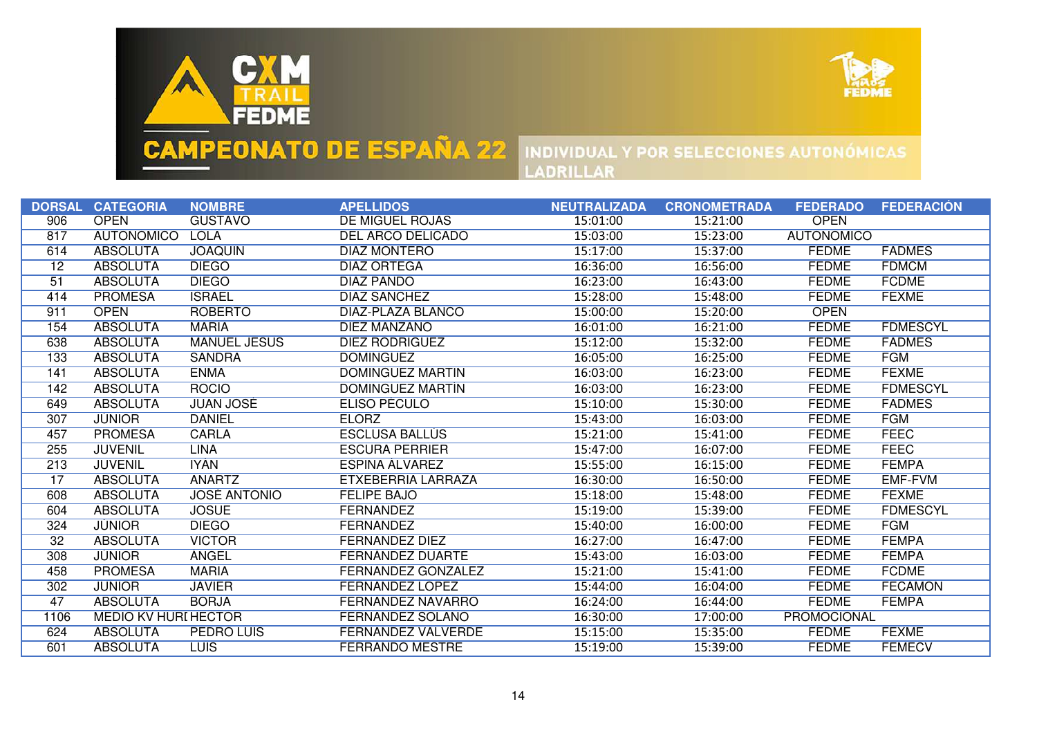



| <b>DE MIGUEL ROJAS</b><br><b>OPEN</b><br>906<br><b>OPEN</b><br><b>GUSTAVO</b><br>15:01:00<br>15:21:00<br><b>AUTONÓMICO</b><br><b>LOLA</b><br>DEL ARCO DELICADO<br><b>AUTONÓMICO</b><br>817<br>15:03:00<br>15:23:00<br><b>ABSOLUTA</b><br><b>JOAQUIN</b><br><b>DIAZ MONTERO</b><br>15:17:00<br><b>FEDME</b><br><b>FADMES</b><br>614<br>15:37:00<br><b>ABSOLUTA</b><br><b>DIEGO</b><br><b>FEDME</b><br><b>FDMCM</b><br>$\overline{12}$<br><b>DIAZ ORTEGA</b><br>16:36:00<br>16:56:00<br><b>FEDME</b><br><b>ABSOLUTA</b><br><b>DIEGO</b><br>16:23:00<br>16:43:00<br><b>FCDME</b><br><b>DIAZ PANDO</b><br>51<br><b>ISRAEL</b><br><b>FEXME</b><br><b>PROMESA</b><br><b>DIAZ SANCHEZ</b><br>15:28:00<br><b>FEDME</b><br>15:48:00<br>414 |  |
|-----------------------------------------------------------------------------------------------------------------------------------------------------------------------------------------------------------------------------------------------------------------------------------------------------------------------------------------------------------------------------------------------------------------------------------------------------------------------------------------------------------------------------------------------------------------------------------------------------------------------------------------------------------------------------------------------------------------------------------|--|
|                                                                                                                                                                                                                                                                                                                                                                                                                                                                                                                                                                                                                                                                                                                                   |  |
|                                                                                                                                                                                                                                                                                                                                                                                                                                                                                                                                                                                                                                                                                                                                   |  |
|                                                                                                                                                                                                                                                                                                                                                                                                                                                                                                                                                                                                                                                                                                                                   |  |
|                                                                                                                                                                                                                                                                                                                                                                                                                                                                                                                                                                                                                                                                                                                                   |  |
|                                                                                                                                                                                                                                                                                                                                                                                                                                                                                                                                                                                                                                                                                                                                   |  |
|                                                                                                                                                                                                                                                                                                                                                                                                                                                                                                                                                                                                                                                                                                                                   |  |
| <b>OPEN</b><br><b>DIAZ-PLAZA BLANCO</b><br>911<br><b>ROBERTO</b><br>15:00:00<br><b>OPEN</b><br>15:20:00                                                                                                                                                                                                                                                                                                                                                                                                                                                                                                                                                                                                                           |  |
| <b>ABSOLUTA</b><br><b>MARIA</b><br><b>DIEZ MANZANO</b><br><b>FEDME</b><br><b>FDMESCYL</b><br>154<br>16:01:00<br>16:21:00                                                                                                                                                                                                                                                                                                                                                                                                                                                                                                                                                                                                          |  |
| 638<br><b>ABSOLUTA</b><br><b>MANUEL JESUS</b><br>DIEZ RODRIGUEZ<br>15:12:00<br>15:32:00<br><b>FEDME</b><br><b>FADMES</b>                                                                                                                                                                                                                                                                                                                                                                                                                                                                                                                                                                                                          |  |
| <b>FGM</b><br>133<br><b>ABSOLUTA</b><br><b>SANDRA</b><br><b>FEDME</b><br><b>DOMINGUEZ</b><br>16:05:00<br>16:25:00                                                                                                                                                                                                                                                                                                                                                                                                                                                                                                                                                                                                                 |  |
| <b>ENMA</b><br><b>FEXME</b><br><b>ABSOLUTA</b><br>DOMINGUEZ MARTIN<br>16:03:00<br><b>FEDME</b><br>16:23:00<br>141                                                                                                                                                                                                                                                                                                                                                                                                                                                                                                                                                                                                                 |  |
| <b>ROCIO</b><br><b>FEDME</b><br><b>FDMESCYL</b><br><b>ABSOLUTA</b><br>DOMINGUEZ MARTIN<br>16:23:00<br>142<br>16:03:00                                                                                                                                                                                                                                                                                                                                                                                                                                                                                                                                                                                                             |  |
| <b>ABSOLUTA</b><br><b>JUAN JOSE</b><br>15:10:00<br>15:30:00<br><b>FEDME</b><br><b>FADMES</b><br>649<br>ELISO PECULO                                                                                                                                                                                                                                                                                                                                                                                                                                                                                                                                                                                                               |  |
| <b>FGM</b><br><b>JUNIOR</b><br><b>DANIEL</b><br><b>ELORZ</b><br>15:43:00<br><b>FEDME</b><br>307<br>16:03:00                                                                                                                                                                                                                                                                                                                                                                                                                                                                                                                                                                                                                       |  |
| <b>FEEC</b><br><b>PROMESA</b><br><b>CARLA</b><br><b>ESCLUSA BALLUS</b><br><b>FEDME</b><br>15:21:00<br>15:41:00<br>457                                                                                                                                                                                                                                                                                                                                                                                                                                                                                                                                                                                                             |  |
| <b>FEEC</b><br><b>FEDME</b><br>255<br><b>JUVENIL</b><br><b>LINA</b><br><b>ESCURA PERRIER</b><br>15:47:00<br>16:07:00                                                                                                                                                                                                                                                                                                                                                                                                                                                                                                                                                                                                              |  |
| IYAN.<br><b>FEDME</b><br><b>FEMPA</b><br>213<br><b>JUVENIL</b><br>ESPINA ALVAREZ<br>15:55:00<br>16:15:00                                                                                                                                                                                                                                                                                                                                                                                                                                                                                                                                                                                                                          |  |
| <b>ANARTZ</b><br><b>EMF-FVM</b><br><b>ABSOLUTA</b><br>ETXEBERRIA LARRAZA<br>16:30:00<br>16:50:00<br><b>FEDME</b><br>17                                                                                                                                                                                                                                                                                                                                                                                                                                                                                                                                                                                                            |  |
| <b>ABSOLUTA</b><br><b>JOSÉ ANTONIO</b><br>15:18:00<br><b>FEDME</b><br><b>FEXME</b><br><b>FELIPE BAJO</b><br>15:48:00<br>608                                                                                                                                                                                                                                                                                                                                                                                                                                                                                                                                                                                                       |  |
| <b>ABSOLUTA</b><br><b>JOSUE</b><br><b>FERNANDEZ</b><br>15:19:00<br><b>FEDME</b><br><b>FDMESCYL</b><br>604<br>15:39:00                                                                                                                                                                                                                                                                                                                                                                                                                                                                                                                                                                                                             |  |
| <b>JUNIOR</b><br><b>DIEGO</b><br><b>FEDME</b><br><b>FGM</b><br>324<br><b>FERNANDEZ</b><br>15:40:00<br>16:00:00                                                                                                                                                                                                                                                                                                                                                                                                                                                                                                                                                                                                                    |  |
| <b>FEMPA</b><br><b>ABSOLUTA</b><br><b>VICTOR</b><br><b>FERNANDEZ DIEZ</b><br><b>FEDME</b><br>32<br>16:27:00<br>16:47:00                                                                                                                                                                                                                                                                                                                                                                                                                                                                                                                                                                                                           |  |
| <b>FEMPA</b><br><b>JUNIOR</b><br><b>ANGEL</b><br>FERNANDEZ DUARTE<br>15:43:00<br><b>FEDME</b><br>308<br>16:03:00                                                                                                                                                                                                                                                                                                                                                                                                                                                                                                                                                                                                                  |  |
| <b>FERNANDEZ GONZALEZ</b><br><b>FEDME</b><br><b>FCDME</b><br><b>PROMESA</b><br><b>MARIA</b><br>15:21:00<br>15:41:00<br>458                                                                                                                                                                                                                                                                                                                                                                                                                                                                                                                                                                                                        |  |
| <b>FECAMON</b><br><b>JÚNIOR</b><br><b>JAVIER</b><br>FERNANDEZ LÓPEZ<br><b>FEDME</b><br>302<br>15:44:00<br>16:04:00                                                                                                                                                                                                                                                                                                                                                                                                                                                                                                                                                                                                                |  |
| <b>ABSOLUTA</b><br><b>BORJA</b><br><b>FERNANDEZ NAVARRO</b><br><b>FEDME</b><br><b>FEMPA</b><br>47<br>16:24:00<br>16:44:00                                                                                                                                                                                                                                                                                                                                                                                                                                                                                                                                                                                                         |  |
| <b>MEDIO KV HURI HECTOR</b><br>PROMOCIONAL<br>FERNÁNDEZ SOLANO<br>16:30:00<br>17:00:00<br>1106                                                                                                                                                                                                                                                                                                                                                                                                                                                                                                                                                                                                                                    |  |
| <b>ABSOLUTA</b><br><b>PEDRO LUIS</b><br><b>FERNANDEZ VALVERDE</b><br><b>FEDME</b><br><b>FEXME</b><br>15:15:00<br>15:35:00<br>624                                                                                                                                                                                                                                                                                                                                                                                                                                                                                                                                                                                                  |  |
| <b>FEDME</b><br><b>FEMECV</b><br>601<br><b>ABSOLUTA</b><br><b>LUIS</b><br><b>FERRANDO MESTRE</b><br>15:19:00<br>15:39:00                                                                                                                                                                                                                                                                                                                                                                                                                                                                                                                                                                                                          |  |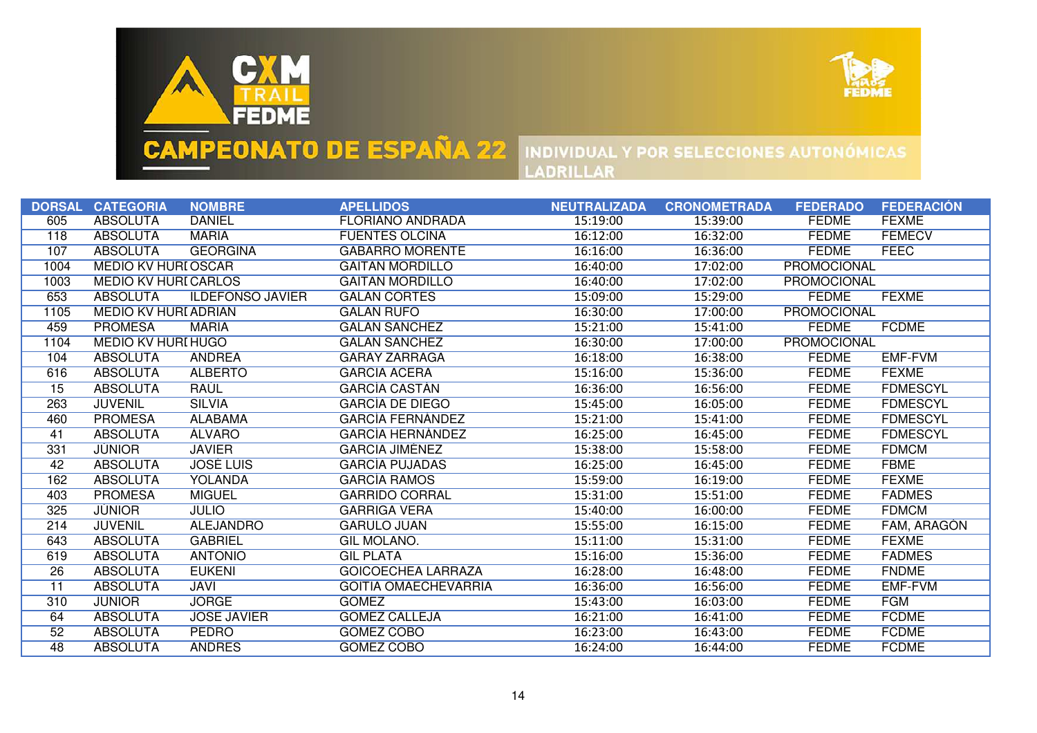



|                 | DORSAL CATEGORIA            | <b>NOMBRE</b>           | <b>APELLIDOS</b>            | <b>NEUTRALIZADA</b> | <b>CRONOMETRADA</b> | <b>FEDERADO</b>    | <b>FEDERACIÓN</b>  |
|-----------------|-----------------------------|-------------------------|-----------------------------|---------------------|---------------------|--------------------|--------------------|
| 605             | <b>ABSOLUTA</b>             | <b>DANIEL</b>           | <b>FLORIANO ANDRADA</b>     | 15:19:00            | 15:39:00            | <b>FEDME</b>       | <b>FEXME</b>       |
| 118             | <b>ABSOLUTA</b>             | <b>MARIA</b>            | <b>FUENTES OLCINA</b>       | 16:12:00            | 16:32:00            | <b>FEDME</b>       | <b>FEMECV</b>      |
| 107             | <b>ABSOLUTA</b>             | <b>GEORGINA</b>         | <b>GABARRO MORENTE</b>      | 16:16:00            | 16:36:00            | <b>FEDME</b>       | <b>FEEC</b>        |
| 1004            | MEDIO KV HURI ÓSCAR         |                         | <b>GAITAN MORDILLO</b>      | 16:40:00            | 17:02:00            | <b>PROMOCIONAL</b> |                    |
| 1003            | <b>MEDIO KV HURI CARLOS</b> |                         | <b>GAITAN MORDILLO</b>      | 16:40:00            | 17:02:00            | PROMOCIONAL        |                    |
| 653             | <b>ABSOLUTA</b>             | <b>ILDEFONSO JAVIER</b> | <b>GALAN CORTES</b>         | 15:09:00            | 15:29:00            | <b>FEDME</b>       | <b>FEXME</b>       |
| 1105            | MEDIO KV HURI ADRIAN        |                         | <b>GALÁN RUFO</b>           | 16:30:00            | 17:00:00            | <b>PROMOCIONAL</b> |                    |
| 459             | <b>PROMESA</b>              | <b>MARIA</b>            | <b>GALAN SANCHEZ</b>        | 15:21:00            | 15:41:00            | <b>FEDME</b>       | <b>FCDME</b>       |
| 1104            | <b>MEDIO KV HURI HUGO</b>   |                         | <b>GALAN SANCHEZ</b>        | 16:30:00            | 17:00:00            | <b>PROMOCIONAL</b> |                    |
| 104             | <b>ABSOLUTA</b>             | <b>ANDREA</b>           | <b>GARAY ZARRAGA</b>        | 16:18:00            | 16:38:00            | <b>FEDME</b>       | <b>EMF-FVM</b>     |
| 616             | <b>ABSOLUTA</b>             | <b>ALBERTO</b>          | <b>GARCIA ACERA</b>         | 15:16:00            | 15:36:00            | <b>FEDME</b>       | <b>FEXME</b>       |
| $\overline{15}$ | <b>ABSOLUTA</b>             | <b>RAUL</b>             | <b>GARCIA CASTAN</b>        | 16:36:00            | 16:56:00            | <b>FEDME</b>       | <b>FDMESCYL</b>    |
| 263             | <b>JUVENIL</b>              | <b>SILVIA</b>           | <b>GARCIA DE DIEGO</b>      | 15:45:00            | 16:05:00            | <b>FEDME</b>       | <b>FDMESCYL</b>    |
| 460             | <b>PROMESA</b>              | <b>ALABAMA</b>          | <b>GARCIA FERNANDEZ</b>     | 15:21:00            | 15:41:00            | <b>FEDME</b>       | <b>FDMESCYL</b>    |
| 41              | <b>ABSOLUTA</b>             | <b>ALVARO</b>           | <b>GARCIA HERNANDEZ</b>     | 16:25:00            | 16:45:00            | <b>FEDME</b>       | <b>FDMESCYL</b>    |
| 331             | <b>JUNIOR</b>               | <b>JAVIER</b>           | <b>GARCIA JIMENEZ</b>       | 15:38:00            | 15:58:00            | <b>FEDME</b>       | <b>FDMCM</b>       |
| 42              | <b>ABSOLUTA</b>             | <b>JOSÉ LUIS</b>        | <b>GARCIA PUJADAS</b>       | 16:25:00            | 16:45:00            | <b>FEDME</b>       | <b>FBME</b>        |
| 162             | <b>ABSOLUTA</b>             | <b>YOLANDA</b>          | <b>GARCIA RAMOS</b>         | 15:59:00            | 16:19:00            | <b>FEDME</b>       | <b>FEXME</b>       |
| 403             | <b>PROMESA</b>              | <b>MIGUEL</b>           | <b>GARRIDO CORRAL</b>       | 15:31:00            | 15:51:00            | <b>FEDME</b>       | <b>FADMES</b>      |
| 325             | <b>JUNIOR</b>               | <b>JULIO</b>            | <b>GARRIGA VERA</b>         | 15:40:00            | 16:00:00            | <b>FEDME</b>       | <b>FDMCM</b>       |
| 214             | <b>JUVENIL</b>              | <b>ALEJANDRO</b>        | <b>GARULO JUAN</b>          | 15:55:00            | 16:15:00            | <b>FEDME</b>       | <b>FAM, ARAGON</b> |
| 643             | <b>ABSOLUTA</b>             | <b>GABRIEL</b>          | <b>GIL MOLANO.</b>          | 15:11:00            | 15:31:00            | <b>FEDME</b>       | <b>FEXME</b>       |
| 619             | <b>ABSOLUTA</b>             | <b>ANTONIO</b>          | <b>GIL PLATA</b>            | 15:16:00            | 15:36:00            | <b>FEDME</b>       | <b>FADMES</b>      |
| $\overline{26}$ | <b>ABSOLUTA</b>             | <b>EUKENI</b>           | <b>GOICOECHEA LARRAZA</b>   | 16:28:00            | 16:48:00            | <b>FEDME</b>       | <b>FNDME</b>       |
| $\overline{11}$ | <b>ABSOLUTA</b>             | <b>JAVI</b>             | <b>GOITIA OMAECHEVARRIA</b> | 16:36:00            | 16:56:00            | <b>FEDME</b>       | <b>EMF-FVM</b>     |
| 310             | <b>JUNIOR</b>               | <b>JORGE</b>            | <b>GOMEZ</b>                | 15:43:00            | 16:03:00            | <b>FEDME</b>       | <b>FGM</b>         |
| 64              | <b>ABSOLUTA</b>             | <b>JOSE JAVIER</b>      | <b>GOMEZ CALLEJA</b>        | 16:21:00            | 16:41:00            | <b>FEDME</b>       | <b>FCDME</b>       |
| 52              | <b>ABSOLUTA</b>             | <b>PEDRO</b>            | <b>GOMEZ COBO</b>           | 16:23:00            | 16:43:00            | <b>FEDME</b>       | <b>FCDME</b>       |
| 48              | <b>ABSOLUTA</b>             | <b>ANDRES</b>           | <b>GOMEZ COBO</b>           | 16:24:00            | 16:44:00            | <b>FEDME</b>       | <b>FCDME</b>       |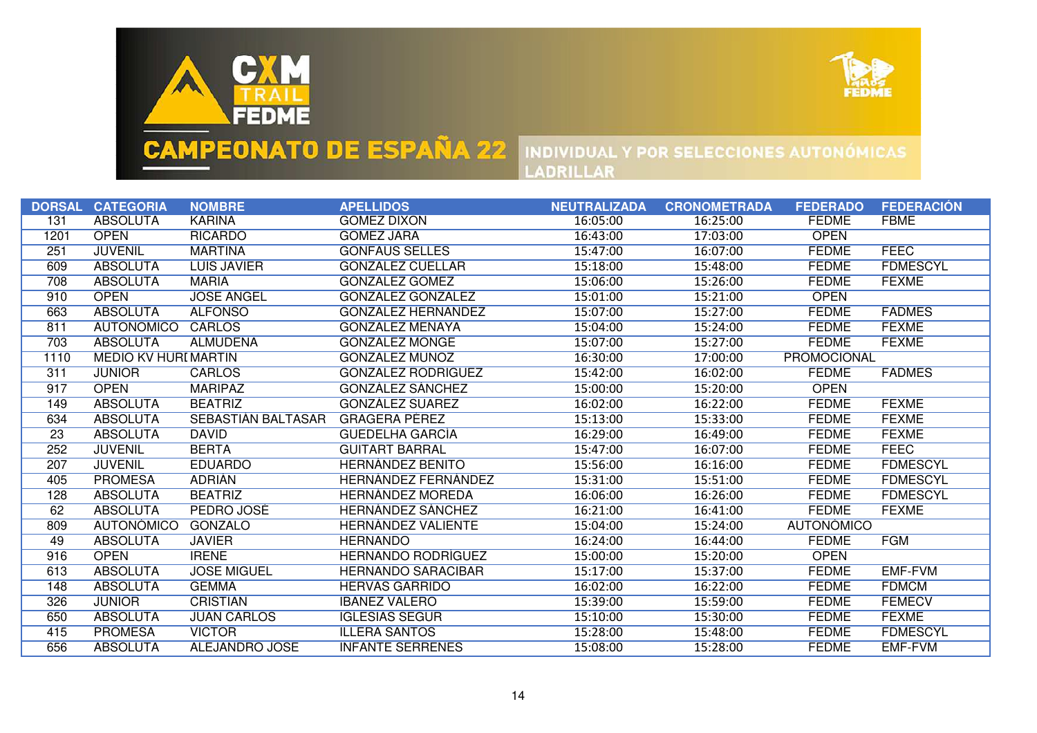



|      | DORSAL CATEGORIA            | <b>NOMBRE</b>             | <b>APELLIDOS</b>           | <b>NEUTRALIZADA</b> | <b>CRONOMETRADA</b> | <b>FEDERADO</b>    | <b>FEDERACIÓN</b> |
|------|-----------------------------|---------------------------|----------------------------|---------------------|---------------------|--------------------|-------------------|
| 131  | <b>ABSOLUTA</b>             | <b>KARINA</b>             | <b>GOMEZ DIXON</b>         | 16:05:00            | 16:25:00            | <b>FEDME</b>       | <b>FBME</b>       |
| 1201 | <b>OPEN</b>                 | <b>RICARDO</b>            | <b>GOMEZ JARA</b>          | 16:43:00            | 17:03:00            | <b>OPEN</b>        |                   |
| 251  | <b>JUVENIL</b>              | <b>MARTINA</b>            | <b>GONFAUS SELLES</b>      | 15:47:00            | 16:07:00            | <b>FEDME</b>       | <b>FEEC</b>       |
| 609  | <b>ABSOLUTA</b>             | <b>LUIS JAVIER</b>        | GONZALEZ CUELLAR           | 15:18:00            | 15:48:00            | <b>FEDME</b>       | <b>FDMESCYL</b>   |
| 708  | <b>ABSOLUTA</b>             | <b>MARIA</b>              | <b>GONZALEZ GOMEZ</b>      | 15:06:00            | 15:26:00            | <b>FEDME</b>       | <b>FEXME</b>      |
| 910  | <b>OPEN</b>                 | <b>JOSE ANGEL</b>         | GONZÁLEZ GONZÁLEZ          | 15:01:00            | 15:21:00            | <b>OPEN</b>        |                   |
| 663  | <b>ABSOLUTA</b>             | <b>ALFONSO</b>            | GONZÁLEZ HERNÁNDEZ         | 15:07:00            | 15:27:00            | <b>FEDME</b>       | <b>FADMES</b>     |
| 811  | <b>AUTONÓMICO</b>           | CARLOS                    | <b>GONZALEZ MENAYA</b>     | 15:04:00            | 15:24:00            | <b>FEDME</b>       | <b>FEXME</b>      |
| 703  | <b>ABSOLUTA</b>             | <b>ALMUDENA</b>           | <b>GONZALEZ MONGE</b>      | 15:07:00            | 15:27:00            | <b>FEDME</b>       | <b>FEXME</b>      |
| 1110 | <b>MEDIO KV HURI MARTIN</b> |                           | <b>GONZALEZ MUNOZ</b>      | 16:30:00            | 17:00:00            | <b>PROMOCIONAL</b> |                   |
| 311  | <b>JUNIOR</b>               | <b>CARLOS</b>             | <b>GONZALEZ RODRIGUEZ</b>  | 15:42:00            | 16:02:00            | <b>FEDME</b>       | <b>FADMES</b>     |
| 917  | <b>OPEN</b>                 | <b>MARIPAZ</b>            | <b>GONZALEZ SANCHEZ</b>    | 15:00:00            | 15:20:00            | <b>OPEN</b>        |                   |
| 149  | <b>ABSOLUTA</b>             | <b>BEATRIZ</b>            | <b>GONZALEZ SUAREZ</b>     | 16:02:00            | 16:22:00            | <b>FEDME</b>       | <b>FEXME</b>      |
| 634  | <b>ABSOLUTA</b>             | <b>SEBASTIAN BALTASAR</b> | <b>GRAGERA PEREZ</b>       | 15:13:00            | 15:33:00            | <b>FEDME</b>       | <b>FEXME</b>      |
| 23   | <b>ABSOLUTA</b>             | <b>DAVID</b>              | <b>GUEDELHA GARCÍA</b>     | 16:29:00            | 16:49:00            | <b>FEDME</b>       | <b>FEXME</b>      |
| 252  | <b>JUVENIL</b>              | <b>BERTA</b>              | <b>GUITART BARRAL</b>      | 15:47:00            | 16:07:00            | <b>FEDME</b>       | <b>FEEC</b>       |
| 207  | <b>JUVENIL</b>              | <b>EDUARDO</b>            | <b>HERNANDEZ BENITO</b>    | 15:56:00            | 16:16:00            | <b>FEDME</b>       | <b>FDMESCYL</b>   |
| 405  | <b>PROMESA</b>              | <b>ADRIAN</b>             | <b>HERNANDEZ FERNANDEZ</b> | 15:31:00            | 15:51:00            | <b>FEDME</b>       | <b>FDMESCYL</b>   |
| 128  | <b>ABSOLUTA</b>             | <b>BEATRIZ</b>            | <b>HERNANDEZ MOREDA</b>    | 16:06:00            | 16:26:00            | <b>FEDME</b>       | <b>FDMESCYL</b>   |
| 62   | <b>ABSOLUTA</b>             | PEDRO JOSÉ                | HERNANDEZ SANCHEZ          | 16:21:00            | 16:41:00            | <b>FEDME</b>       | <b>FEXME</b>      |
| 809  | <b>AUTONÓMICO</b>           | <b>GONZALO</b>            | HERNANDEZ VALIENTE         | 15:04:00            | 15:24:00            | <b>AUTONÓMICO</b>  |                   |
| 49   | <b>ABSOLUTA</b>             | <b>JAVIER</b>             | <b>HERNANDO</b>            | 16:24:00            | 16:44:00            | <b>FEDME</b>       | <b>FGM</b>        |
| 916  | <b>OPEN</b>                 | <b>IRENE</b>              | <b>HERNANDO RODRÍGUEZ</b>  | 15:00:00            | 15:20:00            | <b>OPEN</b>        |                   |
| 613  | <b>ABSOLUTA</b>             | <b>JOSE MIGUEL</b>        | <b>HERNANDO SARACIBAR</b>  | 15:17:00            | 15:37:00            | <b>FEDME</b>       | <b>EMF-FVM</b>    |
| 148  | <b>ABSOLUTA</b>             | <b>GEMMA</b>              | <b>HERVAS GARRIDO</b>      | 16:02:00            | 16:22:00            | <b>FEDME</b>       | <b>FDMCM</b>      |
| 326  | <b>JÚNIOR</b>               | <b>CRISTIAN</b>           | <b>IBANEZ VALERO</b>       | 15:39:00            | 15:59:00            | <b>FEDME</b>       | <b>FEMECV</b>     |
| 650  | <b>ABSOLUTA</b>             | <b>JUAN CARLOS</b>        | <b>IGLESIAS SEGUR</b>      | 15:10:00            | 15:30:00            | <b>FEDME</b>       | <b>FEXME</b>      |
| 415  | <b>PROMESA</b>              | <b>VICTOR</b>             | <b>ILLERA SANTOS</b>       | 15:28:00            | 15:48:00            | <b>FEDME</b>       | <b>FDMESCYL</b>   |
| 656  | <b>ABSOLUTA</b>             | ALEJANDRO JOSE            | <b>INFANTE SERRENES</b>    | 15:08:00            | 15:28:00            | <b>FEDME</b>       | <b>EMF-FVM</b>    |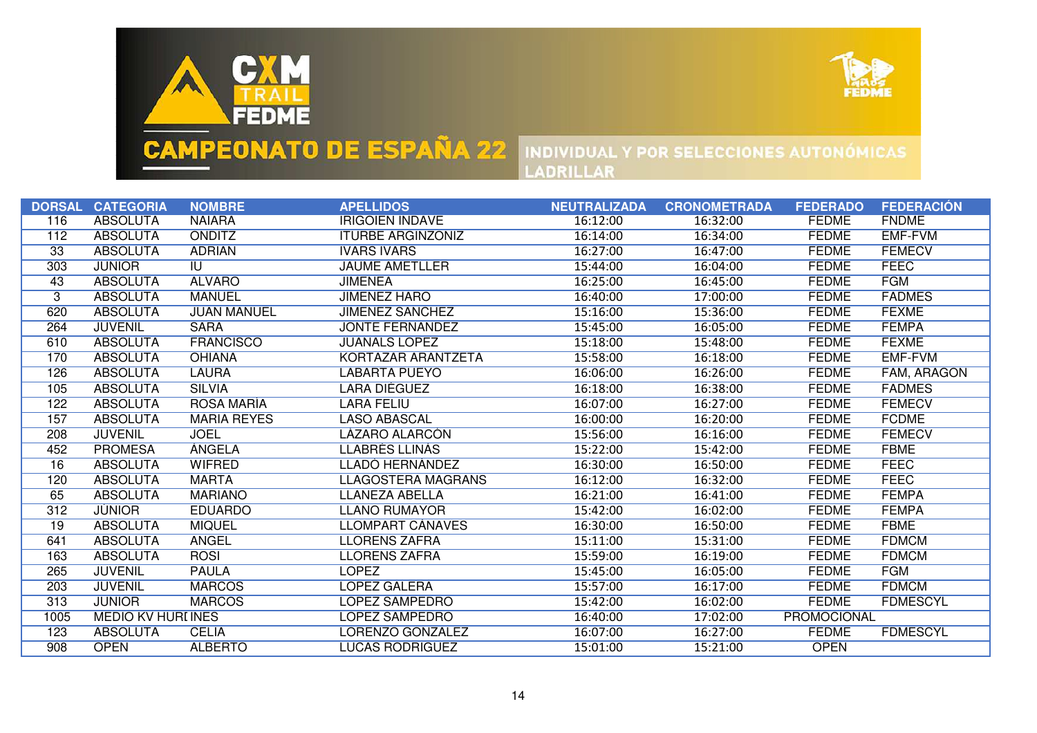



|                 | DORSAL CATEGORIA          | <b>NOMBRE</b>      | <b>APELLIDOS</b>          | <b>NEUTRALIZADA</b> | <b>CRONOMETRADA</b> | <b>FEDERADO</b> | <b>FEDERACIÓN</b>  |
|-----------------|---------------------------|--------------------|---------------------------|---------------------|---------------------|-----------------|--------------------|
| 116             | <b>ABSOLUTA</b>           | <b>NAIARA</b>      | <b>IRIGOIEN INDAVE</b>    | 16:12:00            | 16:32:00            | <b>FEDME</b>    | <b>FNDME</b>       |
| 112             | <b>ABSOLUTA</b>           | <b>ONDITZ</b>      | <b>ITURBE ARGINZONIZ</b>  | 16:14:00            | 16:34:00            | <b>FEDME</b>    | <b>EMF-FVM</b>     |
| 33              | <b>ABSOLUTA</b>           | <b>ADRIAN</b>      | <b>IVARS IVARS</b>        | 16:27:00            | 16:47:00            | <b>FEDME</b>    | <b>FEMECV</b>      |
| 303             | <b>JÜNIOR</b>             | IU.                | <b>JAUME AMETLLER</b>     | 15:44:00            | 16:04:00            | <b>FEDME</b>    | <b>FEEC</b>        |
| 43              | <b>ABSOLUTA</b>           | <b>ALVARO</b>      | <b>JIMENEA</b>            | 16:25:00            | 16:45:00            | <b>FEDME</b>    | <b>FGM</b>         |
| $\overline{3}$  | <b>ABSOLUTA</b>           | <b>MANUEL</b>      | <b>JIMÉNEZ HARO</b>       | 16:40:00            | 17:00:00            | <b>FEDME</b>    | <b>FADMES</b>      |
| 620             | <b>ABSOLUTA</b>           | <b>JUAN MANUEL</b> | JIMÉNEZ SÁNCHEZ           | 15:16:00            | 15:36:00            | <b>FEDME</b>    | <b>FEXME</b>       |
| 264             | <b>JUVENIL</b>            | <b>SARA</b>        | <b>JONTE FERNANDEZ</b>    | 15:45:00            | 16:05:00            | <b>FEDME</b>    | <b>FEMPA</b>       |
| 610             | <b>ABSOLUTA</b>           | <b>FRANCISCO</b>   | <b>JUANALS LÓPEZ</b>      | 15:18:00            | 15:48:00            | <b>FEDME</b>    | <b>FEXME</b>       |
| 170             | <b>ABSOLUTA</b>           | <b>OHIANA</b>      | KORTAZAR ARANTZETA        | 15:58:00            | 16:18:00            | <b>FEDME</b>    | EMF-FVM            |
| 126             | <b>ABSOLUTA</b>           | <b>LAURA</b>       | LABARTA PUEYO             | 16:06:00            | 16:26:00            | <b>FEDME</b>    | <b>FAM, ARAGON</b> |
| 105             | <b>ABSOLUTA</b>           | <b>SILVIA</b>      | <b>LARA DIEGUEZ</b>       | 16:18:00            | 16:38:00            | <b>FEDME</b>    | <b>FADMES</b>      |
| 122             | <b>ABSOLUTA</b>           | <b>ROSA MARIA</b>  | LARA FELIU                | 16:07:00            | 16:27:00            | <b>FEDME</b>    | <b>FEMECV</b>      |
| 157             | <b>ABSOLUTA</b>           | <b>MARIA REYES</b> | <b>LASO ABASCAL</b>       | 16:00:00            | 16:20:00            | <b>FEDME</b>    | <b>FCDME</b>       |
| 208             | <b>JUVENIL</b>            | <b>JOEL</b>        | <b>LÁZARO ALARCON</b>     | 15:56:00            | 16:16:00            | <b>FEDME</b>    | <b>FEMECV</b>      |
| 452             | <b>PROMESA</b>            | <b>ANGELA</b>      | <b>LLABRÉS LLINÁS</b>     | 15:22:00            | 15:42:00            | <b>FEDME</b>    | <b>FBME</b>        |
| 16              | <b>ABSOLUTA</b>           | WIFRED             | LLADO HERNANDEZ           | 16:30:00            | 16:50:00            | <b>FEDME</b>    | <b>FEEC</b>        |
| 120             | <b>ABSOLUTA</b>           | <b>MARTA</b>       | <b>LLAGOSTERA MAGRANS</b> | 16:12:00            | 16:32:00            | <b>FEDME</b>    | <b>FEEC</b>        |
| 65              | <b>ABSOLUTA</b>           | <b>MARIANO</b>     | LLANEZA ABELLA            | 16:21:00            | 16:41:00            | <b>FEDME</b>    | <b>FEMPA</b>       |
| 312             | <b>JUNIOR</b>             | <b>EDUARDO</b>     | <b>LLANO RUMAYOR</b>      | 15:42:00            | 16:02:00            | <b>FEDME</b>    | <b>FEMPA</b>       |
| $\overline{19}$ | <b>ABSOLUTA</b>           | <b>MIQUEL</b>      | LLOMPART CANAVES          | 16:30:00            | 16:50:00            | <b>FEDME</b>    | <b>FBME</b>        |
| 641             | <b>ABSOLUTA</b>           | <b>ANGEL</b>       | <b>LLORENS ZAFRA</b>      | 15:11:00            | 15:31:00            | <b>FEDME</b>    | <b>FDMCM</b>       |
| 163             | <b>ABSOLUTA</b>           | <b>ROSI</b>        | <b>LLORENS ZAFRA</b>      | 15:59:00            | 16:19:00            | <b>FEDME</b>    | <b>FDMCM</b>       |
| 265             | <b>JUVENIL</b>            | <b>PAULA</b>       | <b>LOPEZ</b>              | 15:45:00            | 16:05:00            | <b>FEDME</b>    | <b>FGM</b>         |
| 203             | <b>JUVENIL</b>            | <b>MARCOS</b>      | <b>LÓPEZ GALERA</b>       | 15:57:00            | 16:17:00            | <b>FEDME</b>    | <b>FDMCM</b>       |
| 313             | <b>JÚNIOR</b>             | <b>MARCOS</b>      | LÓPEZ SAMPEDRO            | 15:42:00            | 16:02:00            | <b>FEDME</b>    | <b>FDMESCYL</b>    |
| 1005            | <b>MEDIO KV HURI INES</b> |                    | LÓPEZ SAMPEDRO            | 16:40:00            | 17:02:00            | PROMOCIONAL     |                    |
| 123             | <b>ABSOLUTA</b>           | <b>CELIA</b>       | LORENZO GONZALEZ          | 16:07:00            | 16:27:00            | <b>FEDME</b>    | <b>FDMESCYL</b>    |
| 908             | <b>OPEN</b>               | <b>ALBERTO</b>     | LUCAS RODRIGUEZ           | 15:01:00            | 15:21:00            | <b>OPEN</b>     |                    |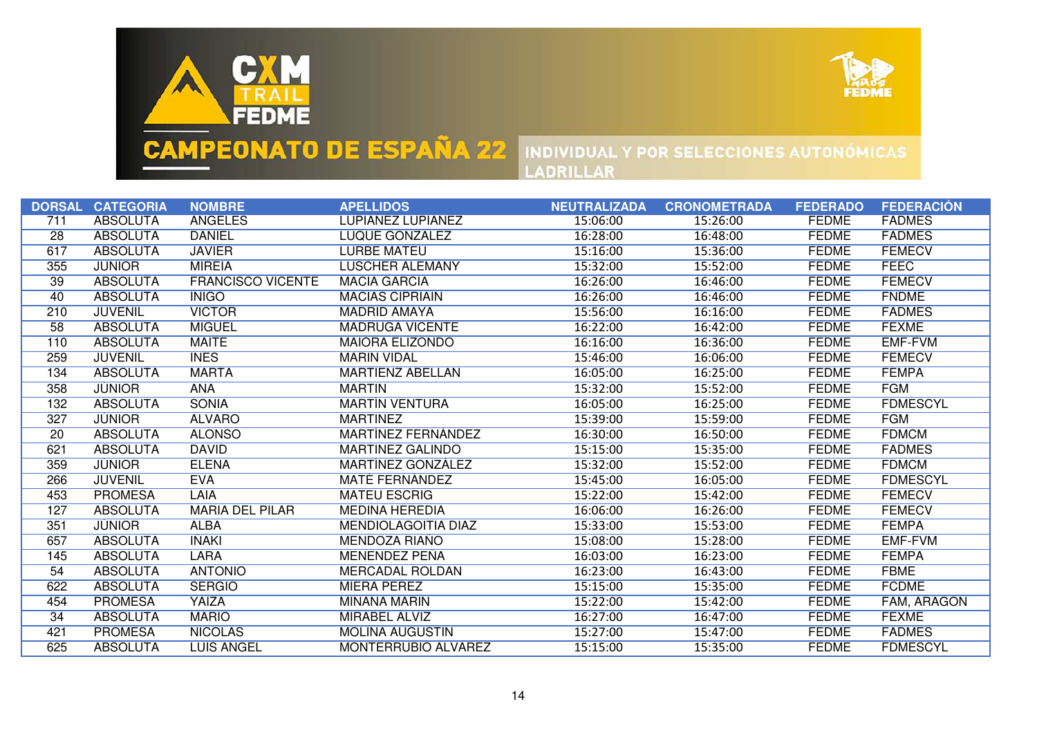



|     | DORSAL CATEGORIA | <b>NOMBRE</b>            | <b>APELLIDOS</b>           | <b>NEUTRALIZADA</b> | <b>CRONOMETRADA</b> | <b>FEDERADO</b> | <b>FEDERACIÓN</b> |
|-----|------------------|--------------------------|----------------------------|---------------------|---------------------|-----------------|-------------------|
| 711 | <b>ABSOLUTA</b>  | <b>ANGELES</b>           | <b>LUPIAÑEZ LUPIAÑEZ</b>   | 15:06:00            | 15:26:00            | <b>FEDME</b>    | <b>FADMES</b>     |
| 28  | <b>ABSOLUTA</b>  | <b>DANIEL</b>            | LUQUE GONZALEZ             | 16:28:00            | 16:48:00            | <b>FEDME</b>    | <b>FADMES</b>     |
| 617 | <b>ABSOLUTA</b>  | <b>JAVIER</b>            | <b>LURBE MATEU</b>         | 15:16:00            | 15:36:00            | <b>FEDME</b>    | <b>FEMECV</b>     |
| 355 | <b>JÚNIOR</b>    | <b>MIREIA</b>            | LÜSCHER ALEMANY            | 15:32:00            | 15:52:00            | <b>FEDME</b>    | <b>FEEC</b>       |
| 39  | <b>ABSOLUTA</b>  | <b>FRANCISCO VICENTE</b> | <b>MACIA GARCIA</b>        | 16:26:00            | 16:46:00            | <b>FEDME</b>    | <b>FEMECV</b>     |
| 40  | <b>ABSOLUTA</b>  | <b>INIGO</b>             | <b>MACIAS CIPRIAIN</b>     | 16:26:00            | 16:46:00            | <b>FEDME</b>    | <b>FNDME</b>      |
| 210 | <b>JUVENIL</b>   | <b>VICTOR</b>            | <b>MADRID AMAYA</b>        | 15:56:00            | 16:16:00            | <b>FEDME</b>    | <b>FADMES</b>     |
| 58  | <b>ABSOLUTA</b>  | <b>MIGUEL</b>            | <b>MADRUGA VICENTE</b>     | 16:22:00            | 16:42:00            | <b>FEDME</b>    | <b>FEXME</b>      |
| 110 | <b>ABSOLUTA</b>  | <b>MAITE</b>             | <b>MAIORA ELIZONDO</b>     | 16:16:00            | 16:36:00            | <b>FEDME</b>    | <b>EMF-FVM</b>    |
| 259 | <b>JUVENIL</b>   | <b>INES</b>              | <b>MARIN VIDAL</b>         | 15:46:00            | 16:06:00            | <b>FEDME</b>    | <b>FEMECV</b>     |
| 134 | <b>ABSOLUTA</b>  | <b>MARTA</b>             | <b>MARTIENZ ABELLAN</b>    | 16:05:00            | 16:25:00            | <b>FEDME</b>    | <b>FEMPA</b>      |
| 358 | <b>JUNIOR</b>    | <b>ANA</b>               | <b>MARTIN</b>              | 15:32:00            | 15:52:00            | <b>FEDME</b>    | <b>FGM</b>        |
| 132 | <b>ABSOLUTA</b>  | <b>SONIA</b>             | <b>MARTIN VENTURA</b>      | 16:05:00            | 16:25:00            | <b>FEDME</b>    | <b>FDMESCYL</b>   |
| 327 | <b>JUNIOR</b>    | <b>ALVARO</b>            | <b>MARTINEZ</b>            | 15:39:00            | 15:59:00            | <b>FEDME</b>    | <b>FGM</b>        |
| 20  | <b>ABSOLUTA</b>  | <b>ALONSO</b>            | MARTINEZ FERNANDEZ         | 16:30:00            | 16:50:00            | <b>FEDME</b>    | <b>FDMCM</b>      |
| 621 | <b>ABSOLUTA</b>  | <b>DAVID</b>             | <b>MARTINEZ GALINDO</b>    | 15:15:00            | 15:35:00            | <b>FEDME</b>    | <b>FADMES</b>     |
| 359 | <b>JUNIOR</b>    | <b>ELENA</b>             | MARTINEZ GONZALEZ          | 15:32:00            | 15:52:00            | <b>FEDME</b>    | <b>FDMCM</b>      |
| 266 | <b>JUVENIL</b>   | <b>EVA</b>               | <b>MATÉ FERNÁNDEZ</b>      | 15:45:00            | 16:05:00            | <b>FEDME</b>    | <b>FDMESCYL</b>   |
| 453 | <b>PROMESA</b>   | LAIA                     | <b>MATEU ESCRIG</b>        | 15:22:00            | 15:42:00            | <b>FEDME</b>    | <b>FEMECV</b>     |
| 127 | <b>ABSOLUTA</b>  | <b>MARIA DEL PILAR</b>   | <b>MEDINA HEREDIA</b>      | 16:06:00            | 16:26:00            | <b>FEDME</b>    | <b>FEMECV</b>     |
| 351 | <b>JUNIOR</b>    | <b>ALBA</b>              | <b>MENDIOLAGOITIA DIAZ</b> | 15:33:00            | 15:53:00            | <b>FEDME</b>    | <b>FEMPA</b>      |
| 657 | <b>ABSOLUTA</b>  | <b>INAKI</b>             | <b>MENDOZA RIAÑO</b>       | 15:08:00            | 15:28:00            | <b>FEDME</b>    | <b>EMF-FVM</b>    |
| 145 | <b>ABSOLUTA</b>  | <b>LARA</b>              | MENENDEZ PEÑA              | 16:03:00            | 16:23:00            | <b>FEDME</b>    | <b>FEMPA</b>      |
| 54  | <b>ABSOLUTA</b>  | <b>ANTONIO</b>           | <b>MERCADAL ROLDAN</b>     | 16:23:00            | 16:43:00            | <b>FEDME</b>    | <b>FBME</b>       |
| 622 | <b>ABSOLUTA</b>  | <b>SERGIO</b>            | <b>MIERA PEREZ</b>         | 15:15:00            | 15:35:00            | <b>FEDME</b>    | <b>FCDME</b>      |
| 454 | <b>PROMESA</b>   | YAIZA                    | <b>MIÑANA MARIN</b>        | 15:22:00            | 15:42:00            | <b>FEDME</b>    | FAM, ARAGON       |
| 34  | <b>ABSOLUTA</b>  | <b>MARIO</b>             | <b>MIRABEL ALVIZ</b>       | 16:27:00            | 16:47:00            | <b>FEDME</b>    | <b>FEXME</b>      |
| 421 | <b>PROMESA</b>   | <b>NICOLAS</b>           | <b>MOLINA AUGUSTIN</b>     | 15:27:00            | 15:47:00            | <b>FEDME</b>    | <b>FADMES</b>     |
| 625 | <b>ABSOLUTA</b>  | <b>LUIS ANGEL</b>        | <b>MONTERRUBIO ALVAREZ</b> | 15:15:00            | 15:35:00            | <b>FEDME</b>    | <b>FDMESCYL</b>   |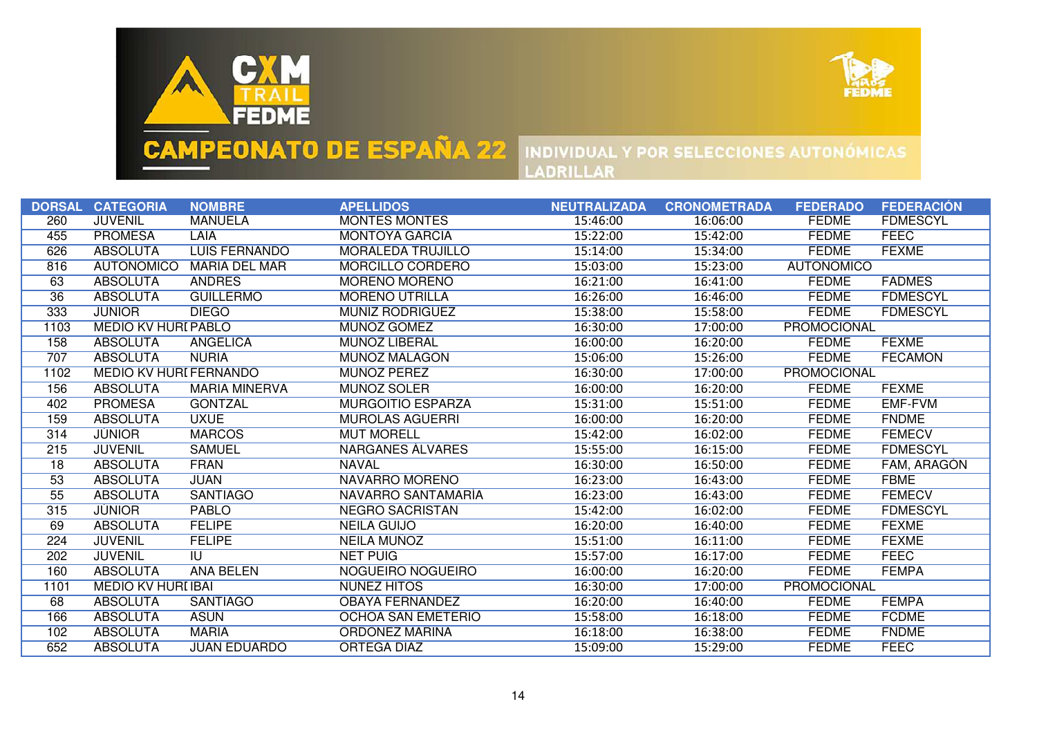



|                 | DORSAL CATEGORIA              | <b>NOMBRE</b>                     | <b>APELLIDOS</b>          | <b>NEUTRALIZADA</b> | <b>CRONOMETRADA</b> | <b>FEDERADO</b>    | <b>FEDERACIÓN</b> |
|-----------------|-------------------------------|-----------------------------------|---------------------------|---------------------|---------------------|--------------------|-------------------|
| 260             | <b>JUVENIL</b>                | <b>MANUELA</b>                    | <b>MONTES MONTES</b>      | 15:46:00            | 16:06:00            | <b>FEDME</b>       | <b>FDMESCYL</b>   |
| 455             | <b>PROMESA</b>                | <b>LAIA</b>                       | <b>MONTOYA GARCIA</b>     | 15:22:00            | 15:42:00            | <b>FEDME</b>       | <b>FEEC</b>       |
| 626             | <b>ABSOLUTA</b>               | <b>LUIS FERNANDO</b>              | <b>MORALEDA TRUJILLO</b>  | 15:14:00            | 15:34:00            | <b>FEDME</b>       | <b>FEXME</b>      |
| 816             | <b>AUTONÓMICO</b>             | MARÍA DEL MAR                     | MORCILLO CORDERO          | 15:03:00            | 15:23:00            | <b>AUTONÓMICO</b>  |                   |
| 63              | <b>ABSOLUTA</b>               | <b>ANDRES</b>                     | <b>MORENO MORENO</b>      | 16:21:00            | 16:41:00            | <b>FEDME</b>       | <b>FADMES</b>     |
| 36              | <b>ABSOLUTA</b>               | <b>GUILLERMO</b>                  | <b>MORENO UTRILLA</b>     | 16:26:00            | 16:46:00            | <b>FEDME</b>       | <b>FDMESCYL</b>   |
| 333             | <b>JUNIOR</b>                 | <b>DIEGO</b>                      | <b>MUNIZ RODRIGUEZ</b>    | 15:38:00            | 15:58:00            | <b>FEDME</b>       | <b>FDMESCYL</b>   |
| 1103            | <b>MEDIO KV HURI PABLO</b>    |                                   | MUNOZ GÓMEZ               | 16:30:00            | 17:00:00            | <b>PROMOCIONAL</b> |                   |
| 158             | <b>ABSOLUTA</b>               | <b>ANGELICA</b>                   | <b>MUÑOZ LIBERAL</b>      | 16:00:00            | 16:20:00            | <b>FEDME</b>       | <b>FEXME</b>      |
| 707             | <b>ABSOLUTA</b>               | <b>NURIA</b>                      | <b>MUNOZ MALAGON</b>      | 15:06:00            | 15:26:00            | <b>FEDME</b>       | <b>FECAMON</b>    |
| 1102            | <b>MEDIO KV HURI FERNANDO</b> |                                   | <b>MUNOZ PEREZ</b>        | 16:30:00            | 17:00:00            | <b>PROMOCIONAL</b> |                   |
| 156             | <b>ABSOLUTA</b>               | <b>MARIA MINERVA</b>              | <b>MUNOZ SOLER</b>        | 16:00:00            | 16:20:00            | <b>FEDME</b>       | <b>FEXME</b>      |
| 402             | <b>PROMESA</b>                | <b>GONTZAL</b>                    | <b>MURGOITIO ESPARZA</b>  | 15:31:00            | 15:51:00            | <b>FEDME</b>       | <b>EMF-FVM</b>    |
| 159             | <b>ABSOLUTA</b>               | <b>UXUE</b>                       | <b>MUROLAS AGUERRI</b>    | 16:00:00            | 16:20:00            | <b>FEDME</b>       | <b>FNDME</b>      |
| 314             | <b>JUNIOR</b>                 | <b>MARCOS</b>                     | <b>MUT MORELL</b>         | 15:42:00            | 16:02:00            | <b>FEDME</b>       | <b>FEMECV</b>     |
| 215             | <b>JUVENIL</b>                | <b>SAMUEL</b>                     | <b>NARGANES ALVARES</b>   | 15:55:00            | 16:15:00            | <b>FEDME</b>       | <b>FDMESCYL</b>   |
| $\overline{18}$ | <b>ABSOLUTA</b>               | <b>FRAN</b>                       | <b>NAVAL</b>              | 16:30:00            | 16:50:00            | <b>FEDME</b>       | FAM, ARAGÓN       |
| 53              | <b>ABSOLUTA</b>               | <b>JUAN</b>                       | <b>NAVARRO MORENO</b>     | 16:23:00            | 16:43:00            | <b>FEDME</b>       | <b>FBME</b>       |
| 55              | <b>ABSOLUTA</b>               | <b>SANTIAGO</b>                   | NAVARRO SANTAMARÍA        | 16:23:00            | 16:43:00            | <b>FEDME</b>       | <b>FEMECV</b>     |
| 315             | <b>JÚNIOR</b>                 | <b>PABLO</b>                      | <b>NEGRO SACRISTAN</b>    | 15:42:00            | 16:02:00            | <b>FEDME</b>       | <b>FDMESCYL</b>   |
| 69              | <b>ABSOLUTA</b>               | <b>FELIPE</b>                     | <b>NEILA GUIJO</b>        | 16:20:00            | 16:40:00            | <b>FEDME</b>       | <b>FEXME</b>      |
| 224             | <b>JUVENIL</b>                | <b>FELIPE</b>                     | NEILA MUÑOZ               | 15:51:00            | 16:11:00            | <b>FEDME</b>       | <b>FEXME</b>      |
| 202             | <b>JUVENIL</b>                | $\overline{\mathsf{I}\mathsf{U}}$ | <b>NET PUIG</b>           | 15:57:00            | 16:17:00            | <b>FEDME</b>       | <b>FEEC</b>       |
| 160             | <b>ABSOLUTA</b>               | <b>ANA BELEN</b>                  | NOGUEIRO NOGUEIRO         | 16:00:00            | 16:20:00            | <b>FEDME</b>       | <b>FEMPA</b>      |
| 1101            | <b>MEDIO KV HURI IBAI</b>     |                                   | <b>NUNEZ HITOS</b>        | 16:30:00            | 17:00:00            | <b>PROMOCIONAL</b> |                   |
| 68              | <b>ABSOLUTA</b>               | <b>SANTIAGO</b>                   | <b>OBAYA FERNANDEZ</b>    | 16:20:00            | 16:40:00            | <b>FEDME</b>       | <b>FEMPA</b>      |
| 166             | <b>ABSOLUTA</b>               | <b>ASUN</b>                       | <b>OCHOA SAN EMETERIO</b> | 15:58:00            | 16:18:00            | <b>FEDME</b>       | <b>FCDME</b>      |
| 102             | <b>ABSOLUTA</b>               | <b>MARIA</b>                      | <b>ORDONEZ MARINA</b>     | 16:18:00            | 16:38:00            | <b>FEDME</b>       | <b>FNDME</b>      |
| 652             | <b>ABSOLUTA</b>               | <b>JUAN EDUARDO</b>               | <b>ORTEGA DIAZ</b>        | 15:09:00            | 15:29:00            | <b>FEDME</b>       | <b>FEEC</b>       |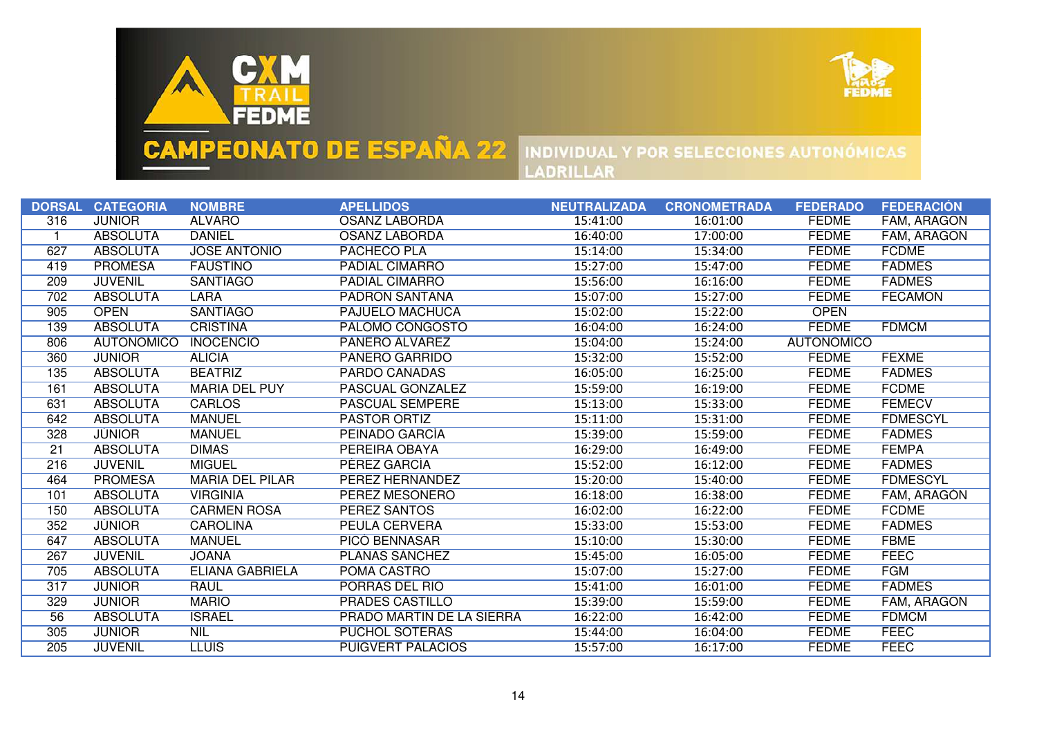



|                 | DORSAL CATEGORIA  | <b>NOMBRE</b>          | <b>APELLIDOS</b>          | <b>NEUTRALIZADA</b> | <b>CRONOMETRADA</b> | <b>FEDERADO</b>   | <b>FEDERACIÓN</b> |
|-----------------|-------------------|------------------------|---------------------------|---------------------|---------------------|-------------------|-------------------|
| 316             | <b>JUNIOR</b>     | <b>ALVARO</b>          | <b>OSANZ LABORDA</b>      | 15:41:00            | 16:01:00            | <b>FEDME</b>      | FAM, ARAGON       |
|                 | <b>ABSOLUTA</b>   | <b>DANIEL</b>          | <b>OSANZ LABORDA</b>      | 16:40:00            | 17:00:00            | <b>FEDME</b>      | FAM, ARAGON       |
| 627             | <b>ABSOLUTA</b>   | <b>JOSÉ ANTONIO</b>    | <b>PACHECO PLA</b>        | 15:14:00            | 15:34:00            | <b>FEDME</b>      | <b>FCDME</b>      |
| 419             | <b>PROMESA</b>    | <b>FAUSTINO</b>        | <b>PADIAL CIMARRO</b>     | 15:27:00            | 15:47:00            | <b>FEDME</b>      | <b>FADMES</b>     |
| 209             | <b>JUVENIL</b>    | <b>SANTIAGO</b>        | <b>PADIAL CIMARRO</b>     | 15:56:00            | 16:16:00            | <b>FEDME</b>      | <b>FADMES</b>     |
| 702             | <b>ABSOLUTA</b>   | <b>LARA</b>            | <b>PADRÓN SANTANA</b>     | 15:07:00            | 15:27:00            | <b>FEDME</b>      | <b>FECAMON</b>    |
| 905             | <b>OPEN</b>       | <b>SANTIAGO</b>        | <b>PAJUELO MACHUCA</b>    | 15:02:00            | 15:22:00            | <b>OPEN</b>       |                   |
| 139             | <b>ABSOLUTA</b>   | <b>CRISTINA</b>        | PALOMO CONGOSTO           | 16:04:00            | 16:24:00            | <b>FEDME</b>      | <b>FDMCM</b>      |
| 806             | <b>AUTONÓMICO</b> | <b>INOCENCIO</b>       | <b>PAÑERO ALVAREZ</b>     | 15:04:00            | 15:24:00            | <b>AUTONÓMICO</b> |                   |
| 360             | <b>JUNIOR</b>     | <b>ALICIA</b>          | <b>PANERO GARRIDO</b>     | 15:32:00            | 15:52:00            | <b>FEDME</b>      | <b>FEXME</b>      |
| 135             | <b>ABSOLUTA</b>   | <b>BEATRIZ</b>         | <b>PARDO CANADAS</b>      | 16:05:00            | 16:25:00            | <b>FEDME</b>      | <b>FADMES</b>     |
| 161             | <b>ABSOLUTA</b>   | <b>MARIA DEL PUY</b>   | PASCUAL GONZALEZ          | 15:59:00            | 16:19:00            | <b>FEDME</b>      | <b>FCDME</b>      |
| 631             | <b>ABSOLUTA</b>   | <b>CARLOS</b>          | <b>PASCUAL SEMPERE</b>    | 15:13:00            | 15:33:00            | <b>FEDME</b>      | <b>FEMECV</b>     |
| 642             | <b>ABSOLUTA</b>   | <b>MANUEL</b>          | <b>PASTOR ORTIZ</b>       | 15:11:00            | 15:31:00            | <b>FEDME</b>      | <b>FDMESCYL</b>   |
| 328             | <b>JÚNIOR</b>     | <b>MANUEL</b>          | PEINADO GARCÍA            | 15:39:00            | 15:59:00            | <b>FEDME</b>      | <b>FADMES</b>     |
| $\overline{21}$ | <b>ABSOLUTA</b>   | <b>DIMAS</b>           | PEREIRA OBAYA             | 16:29:00            | 16:49:00            | <b>FEDME</b>      | <b>FEMPA</b>      |
| 216             | <b>JUVENIL</b>    | <b>MIGUEL</b>          | PEREZ GARCIA              | 15:52:00            | 16:12:00            | <b>FEDME</b>      | <b>FADMES</b>     |
| 464             | <b>PROMESA</b>    | <b>MARIA DEL PILAR</b> | PEREZ HERNANDEZ           | 15:20:00            | 15:40:00            | <b>FEDME</b>      | <b>FDMESCYL</b>   |
| 101             | <b>ABSOLUTA</b>   | <b>VIRGINIA</b>        | PEREZ MESONERO            | 16:18:00            | 16:38:00            | <b>FEDME</b>      | FAM, ARAGÓN       |
| 150             | <b>ABSOLUTA</b>   | <b>CARMEN ROSA</b>     | <b>PEREZ SANTOS</b>       | 16:02:00            | 16:22:00            | <b>FEDME</b>      | <b>FCDME</b>      |
| 352             | <b>JUNIOR</b>     | <b>CAROLINA</b>        | PEULA CERVERA             | 15:33:00            | 15:53:00            | <b>FEDME</b>      | <b>FADMES</b>     |
| 647             | <b>ABSOLUTA</b>   | <b>MANUEL</b>          | <b>PICO BENNASAR</b>      | 15:10:00            | 15:30:00            | <b>FEDME</b>      | <b>FBME</b>       |
| 267             | <b>JUVENIL</b>    | <b>JOANA</b>           | <b>PLANAS SÁNCHEZ</b>     | 15:45:00            | 16:05:00            | <b>FEDME</b>      | <b>FEEC</b>       |
| 705             | <b>ABSOLUTA</b>   | <b>ELIANA GABRIELA</b> | POMA CASTRO               | 15:07:00            | 15:27:00            | <b>FEDME</b>      | <b>FGM</b>        |
| 317             | <b>JUNIOR</b>     | <b>RAUL</b>            | PORRAS DEL RÍO            | 15:41:00            | 16:01:00            | <b>FEDME</b>      | <b>FADMES</b>     |
| 329             | <b>JÚNIOR</b>     | <b>MARIO</b>           | <b>PRADES CASTILLO</b>    | 15:39:00            | 15:59:00            | <b>FEDME</b>      | FAM, ARAGÓN       |
| 56              | <b>ABSOLUTA</b>   | <b>ISRAEL</b>          | PRADO MARTÍN DE LA SIERRA | 16:22:00            | 16:42:00            | <b>FEDME</b>      | <b>FDMCM</b>      |
| 305             | <b>JÚNIOR</b>     | <b>NIL</b>             | PUCHOL SOTERAS            | 15:44:00            | 16:04:00            | <b>FEDME</b>      | <b>FEEC</b>       |
| 205             | <b>JUVENIL</b>    | <b>LLUIS</b>           | <b>PUIGVERT PALACIOS</b>  | 15:57:00            | 16:17:00            | <b>FEDME</b>      | <b>FEEC</b>       |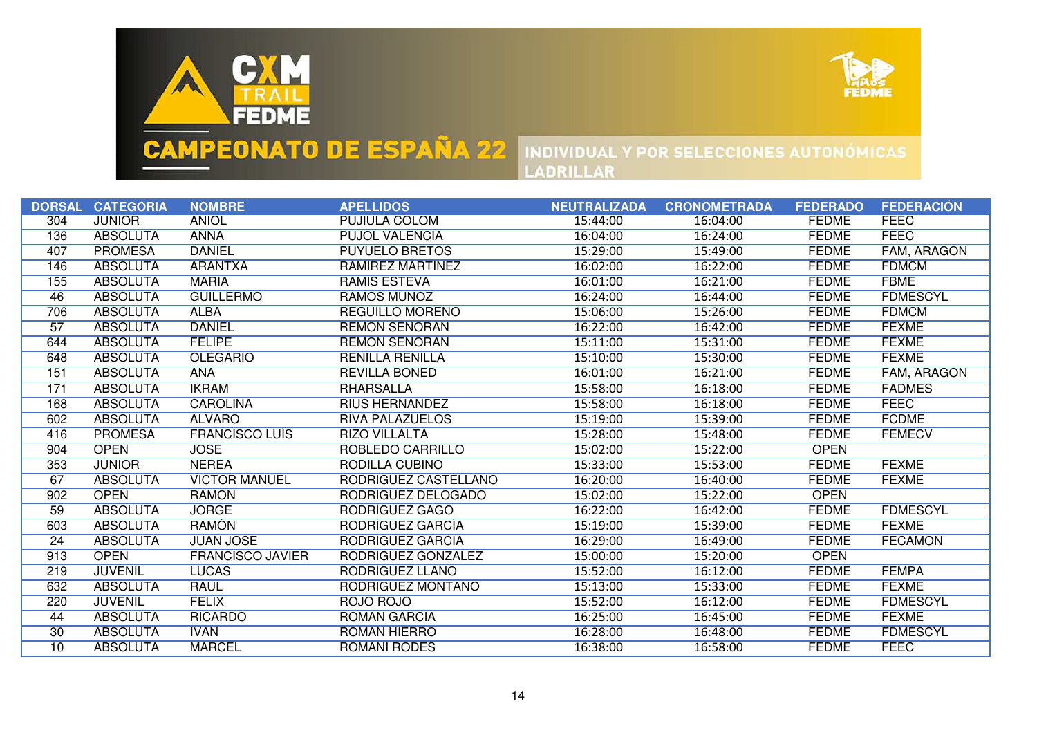



|     | <b>DORSAL CATEGORIA</b> | <b>NOMBRE</b>           | <b>APELLIDOS</b>       | <b>NEUTRALIZADA</b> | <b>CRONOMETRADA</b> | <b>FEDERADO</b> | <b>FEDERACIÓN</b>  |
|-----|-------------------------|-------------------------|------------------------|---------------------|---------------------|-----------------|--------------------|
| 304 | <b>JUNIOR</b>           | <b>ANIOL</b>            | <b>PUJIULA COLOM</b>   | 15:44:00            | 16:04:00            | <b>FEDME</b>    | <b>FEEC</b>        |
| 136 | <b>ABSOLUTA</b>         | <b>ANNA</b>             | <b>PUJOL VALENCIA</b>  | 16:04:00            | 16:24:00            | <b>FEDME</b>    | <b>FEEC</b>        |
| 407 | <b>PROMESA</b>          | <b>DANIEL</b>           | <b>PUYUELO BRETOS</b>  | 15:29:00            | 15:49:00            | <b>FEDME</b>    | <b>FAM, ARAGÓN</b> |
| 146 | <b>ABSOLUTA</b>         | <b>ARANTXA</b>          | RAMIREZ MARTINEZ       | 16:02:00            | 16:22:00            | <b>FEDME</b>    | <b>FDMCM</b>       |
| 155 | <b>ABSOLUTA</b>         | <b>MARIA</b>            | <b>RAMIS ESTEVA</b>    | 16:01:00            | 16:21:00            | <b>FEDME</b>    | <b>FBME</b>        |
| 46  | <b>ABSOLUTA</b>         | <b>GUILLERMO</b>        | <b>RAMOS MUÑOZ</b>     | 16:24:00            | 16:44:00            | <b>FEDME</b>    | <b>FDMESCYL</b>    |
| 706 | <b>ABSOLUTA</b>         | <b>ALBA</b>             | <b>REGUILLO MORENO</b> | 15:06:00            | 15:26:00            | <b>FEDME</b>    | <b>FDMCM</b>       |
| 57  | <b>ABSOLUTA</b>         | <b>DANIEL</b>           | <b>REMON SENORAN</b>   | 16:22:00            | 16:42:00            | <b>FEDME</b>    | <b>FEXME</b>       |
| 644 | <b>ABSOLUTA</b>         | <b>FELIPE</b>           | <b>REMON SENORAN</b>   | 15:11:00            | 15:31:00            | <b>FEDME</b>    | <b>FEXME</b>       |
| 648 | <b>ABSOLUTA</b>         | <b>OLEGARIO</b>         | <b>RENILLA RENILLA</b> | 15:10:00            | 15:30:00            | <b>FEDME</b>    | <b>FEXME</b>       |
| 151 | <b>ABSOLUTA</b>         | <b>ANA</b>              | <b>REVILLA BONED</b>   | 16:01:00            | 16:21:00            | <b>FEDME</b>    | FAM, ARAGON        |
| 171 | <b>ABSOLUTA</b>         | <b>IKRAM</b>            | <b>RHARSALLA</b>       | 15:58:00            | 16:18:00            | <b>FEDME</b>    | <b>FADMES</b>      |
| 168 | <b>ABSOLUTA</b>         | <b>CAROLINA</b>         | <b>RIUS HERNANDEZ</b>  | 15:58:00            | 16:18:00            | <b>FEDME</b>    | <b>FEEC</b>        |
| 602 | <b>ABSOLUTA</b>         | <b>ALVARO</b>           | <b>RIVA PALAZUELOS</b> | 15:19:00            | 15:39:00            | <b>FEDME</b>    | <b>FCDME</b>       |
| 416 | <b>PROMESA</b>          | <b>FRANCISCO LUIS</b>   | <b>RIZO VILLALTA</b>   | 15:28:00            | 15:48:00            | <b>FEDME</b>    | <b>FEMECV</b>      |
| 904 | <b>OPEN</b>             | <b>JOSE</b>             | ROBLEDO CARRILLO       | 15:02:00            | 15:22:00            | <b>OPEN</b>     |                    |
| 353 | <b>JUNIOR</b>           | <b>NEREA</b>            | RODILLA CUBINO         | 15:33:00            | 15:53:00            | <b>FEDME</b>    | <b>FEXME</b>       |
| 67  | <b>ABSOLUTA</b>         | <b>VICTOR MANUEL</b>    | RODRIGUEZ CASTELLANO   | 16:20:00            | 16:40:00            | <b>FEDME</b>    | <b>FEXME</b>       |
| 902 | <b>OPEN</b>             | <b>RAMON</b>            | RODRIGUEZ DELOGADO     | 15:02:00            | 15:22:00            | <b>OPEN</b>     |                    |
| 59  | <b>ABSOLUTA</b>         | <b>JORGE</b>            | RODRIGUEZ GAGO         | 16:22:00            | 16:42:00            | <b>FEDME</b>    | <b>FDMESCYL</b>    |
| 603 | <b>ABSOLUTA</b>         | <b>RAMON</b>            | RODRIGUEZ GARCIA       | 15:19:00            | 15:39:00            | <b>FEDME</b>    | <b>FEXME</b>       |
| 24  | <b>ABSOLUTA</b>         | <b>JUAN JOSÉ</b>        | RODRIGUEZ GARCIA       | 16:29:00            | 16:49:00            | <b>FEDME</b>    | <b>FECAMON</b>     |
| 913 | <b>OPEN</b>             | <b>FRANCISCO JAVIER</b> | RODRIGUEZ GONZALEZ     | 15:00:00            | 15:20:00            | <b>OPEN</b>     |                    |
| 219 | <b>JUVENIL</b>          | <b>LUCAS</b>            | RODRÍGUEZ LLANO        | 15:52:00            | 16:12:00            | <b>FEDME</b>    | <b>FEMPA</b>       |
| 632 | <b>ABSOLUTA</b>         | <b>RAUL</b>             | RODRÍGUEZ MONTAÑO      | 15:13:00            | 15:33:00            | <b>FEDME</b>    | <b>FEXME</b>       |
| 220 | <b>JUVENIL</b>          | <b>FÉLIX</b>            | ROJO ROJO              | 15:52:00            | 16:12:00            | <b>FEDME</b>    | <b>FDMESCYL</b>    |
| 44  | <b>ABSOLUTA</b>         | <b>RICARDO</b>          | <b>ROMÁN GARCÍA</b>    | 16:25:00            | 16:45:00            | <b>FEDME</b>    | <b>FEXME</b>       |
| 30  | <b>ABSOLUTA</b>         | <b>IVAN</b>             | <b>ROMÁN HIERRO</b>    | 16:28:00            | 16:48:00            | <b>FEDME</b>    | <b>FDMESCYL</b>    |
| 10  | <b>ABSOLUTA</b>         | <b>MARCEL</b>           | <b>ROMANI RODES</b>    | 16:38:00            | 16:58:00            | <b>FEDME</b>    | <b>FEEC</b>        |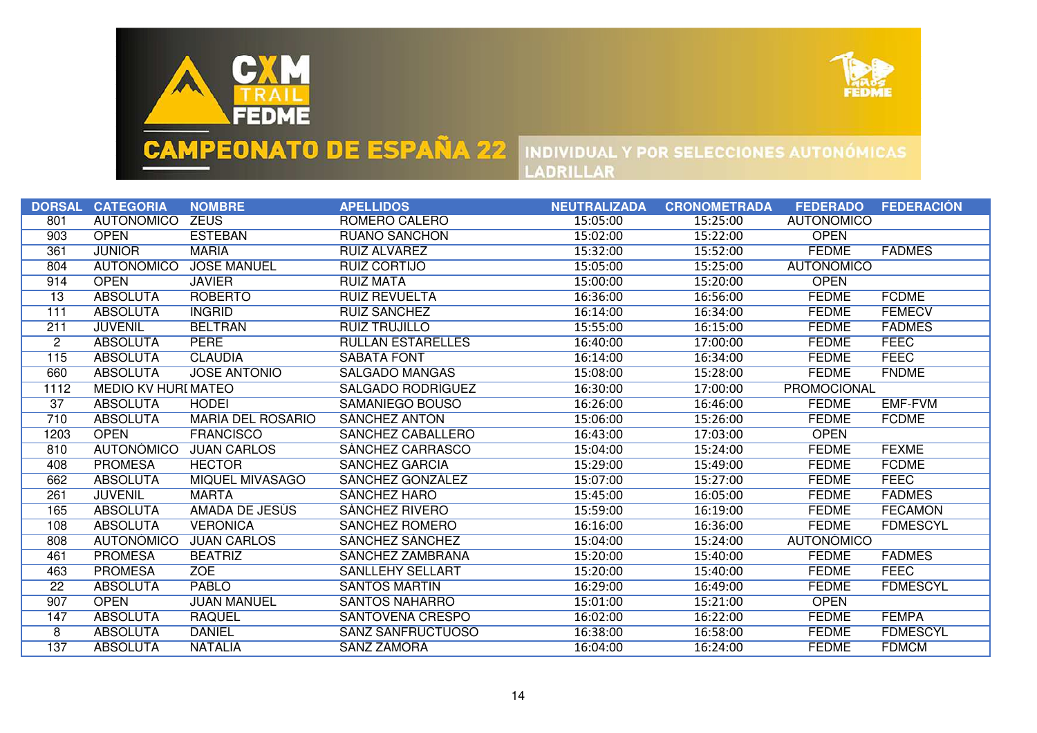



|                 | <b>DORSAL CATEGORIA</b>    | <b>NOMBRE</b>            | <b>APELLIDOS</b>         | <b>NEUTRALIZADA</b> | <b>CRONOMETRADA</b> | <b>FEDERADO</b>    | <b>FEDERACIÓN</b> |
|-----------------|----------------------------|--------------------------|--------------------------|---------------------|---------------------|--------------------|-------------------|
| 801             | <b>AUTONÓMICO</b>          | <b>ZEUS</b>              | ROMERO CALERO            | 15:05:00            | 15:25:00            | <b>AUTONÓMICO</b>  |                   |
| 903             | <b>OPEN</b>                | <b>ESTEBAN</b>           | <b>RUANO SANCHON</b>     | 15:02:00            | 15:22:00            | <b>OPEN</b>        |                   |
| 361             | <b>JÜNIOR</b>              | <b>MARIA</b>             | RUIZ ALVAREZ             | 15:32:00            | 15:52:00            | <b>FEDME</b>       | <b>FADMES</b>     |
| 804             | <b>AUTONÓMICO</b>          | <b>JOSE MANUEL</b>       | RUIZ CORTIJO             | 15:05:00            | 15:25:00            | <b>AUTONÓMICO</b>  |                   |
| 914             | <b>OPEN</b>                | <b>JAVIER</b>            | <b>RUIZ MATA</b>         | 15:00:00            | 15:20:00            | <b>OPEN</b>        |                   |
| $\overline{13}$ | <b>ABSOLUTA</b>            | <b>ROBERTO</b>           | <b>RUIZ REVUELTA</b>     | 16:36:00            | 16:56:00            | <b>FEDME</b>       | <b>FCDME</b>      |
| 111             | <b>ABSOLUTA</b>            | <b>INGRID</b>            | <b>RUIZ SANCHEZ</b>      | 16:14:00            | 16:34:00            | <b>FEDME</b>       | <b>FEMECV</b>     |
| 211             | <b>JUVENIL</b>             | <b>BELTRAN</b>           | <b>RUIZ TRUJILLO</b>     | 15:55:00            | 16:15:00            | <b>FEDME</b>       | <b>FADMES</b>     |
| $\overline{2}$  | <b>ABSOLUTA</b>            | <b>PERE</b>              | <b>RULLAN ESTARELLES</b> | 16:40:00            | 17:00:00            | <b>FEDME</b>       | <b>FEEC</b>       |
| 115             | <b>ABSOLUTA</b>            | <b>CLAUDIA</b>           | <b>SABATA FONT</b>       | 16:14:00            | 16:34:00            | <b>FEDME</b>       | <b>FEEC</b>       |
| 660             | <b>ABSOLUTA</b>            | <b>JOSE ANTONIO</b>      | SALGADO MANGAS           | 15:08:00            | 15:28:00            | <b>FEDME</b>       | <b>FNDME</b>      |
| 1112            | <b>MEDIO KV HURI MATEO</b> |                          | <b>SALGADO RODRIGUEZ</b> | 16:30:00            | 17:00:00            | <b>PROMOCIONAL</b> |                   |
| 37              | <b>ABSOLUTA</b>            | <b>HODEI</b>             | <b>SAMANIEGO BOUSO</b>   | 16:26:00            | 16:46:00            | <b>FEDME</b>       | <b>EMF-FVM</b>    |
| 710             | <b>ABSOLUTA</b>            | <b>MARÍA DEL ROSARIO</b> | <b>SÁNCHEZ ANTÓN</b>     | 15:06:00            | 15:26:00            | <b>FEDME</b>       | <b>FCDME</b>      |
| 1203            | <b>OPEN</b>                | <b>FRANCISCO</b>         | <b>SANCHEZ CABALLERO</b> | 16:43:00            | 17:03:00            | <b>OPEN</b>        |                   |
| 810             | <b>AUTONOMICO</b>          | <b>JUAN CARLOS</b>       | SÁNCHEZ CARRASCO         | 15:04:00            | 15:24:00            | <b>FEDME</b>       | <b>FEXME</b>      |
| 408             | <b>PROMESA</b>             | <b>HECTOR</b>            | <b>SANCHEZ GARCIA</b>    | 15:29:00            | 15:49:00            | <b>FEDME</b>       | <b>FCDME</b>      |
| 662             | <b>ABSOLUTA</b>            | <b>MIQUEL MIVASAGO</b>   | SÁNCHEZ GONZÁLEZ         | 15:07:00            | 15:27:00            | <b>FEDME</b>       | <b>FEEC</b>       |
| 261             | <b>JUVENIL</b>             | <b>MARTA</b>             | <b>SÁNCHEZ HARO</b>      | 15:45:00            | 16:05:00            | <b>FEDME</b>       | <b>FADMES</b>     |
| 165             | <b>ABSOLUTA</b>            | AMADA DE JESUS           | <b>SANCHEZ RIVERO</b>    | 15:59:00            | 16:19:00            | <b>FEDME</b>       | <b>FECAMON</b>    |
| 108             | <b>ABSOLUTA</b>            | <b>VERONICA</b>          | SANCHEZ ROMERO           | 16:16:00            | 16:36:00            | <b>FEDME</b>       | <b>FDMESCYL</b>   |
| 808             | <b>AUTONÓMICO</b>          | <b>JUAN CARLOS</b>       | <b>SÁNCHEZ SÁNCHEZ</b>   | 15:04:00            | 15:24:00            | <b>AUTONÓMICO</b>  |                   |
| 461             | <b>PROMESA</b>             | <b>BEATRIZ</b>           | SANCHEZ ZAMBRANA         | 15:20:00            | 15:40:00            | <b>FEDME</b>       | <b>FADMES</b>     |
| 463             | <b>PROMESA</b>             | <b>ZOE</b>               | <b>SANLLEHY SELLART</b>  | 15:20:00            | 15:40:00            | <b>FEDME</b>       | <b>FEEC</b>       |
| $\overline{22}$ | <b>ABSOLUTA</b>            | <b>PABLO</b>             | <b>SANTOS MARTIN</b>     | 16:29:00            | 16:49:00            | <b>FEDME</b>       | <b>FDMESCYL</b>   |
| 907             | <b>OPEN</b>                | <b>JUAN MANUEL</b>       | <b>SANTOS NAHARRO</b>    | 15:01:00            | 15:21:00            | <b>OPEN</b>        |                   |
| 147             | <b>ABSOLUTA</b>            | <b>RAQUEL</b>            | SANTOVEÑA CRESPO         | 16:02:00            | 16:22:00            | <b>FEDME</b>       | <b>FEMPA</b>      |
| 8               | <b>ABSOLUTA</b>            | <b>DANIEL</b>            | <b>SANZ SANFRUCTUOSO</b> | 16:38:00            | 16:58:00            | <b>FEDME</b>       | <b>FDMESCYL</b>   |
| 137             | <b>ABSOLUTA</b>            | <b>NATALIA</b>           | <b>SANZ ZAMORA</b>       | 16:04:00            | 16:24:00            | <b>FEDME</b>       | <b>FDMCM</b>      |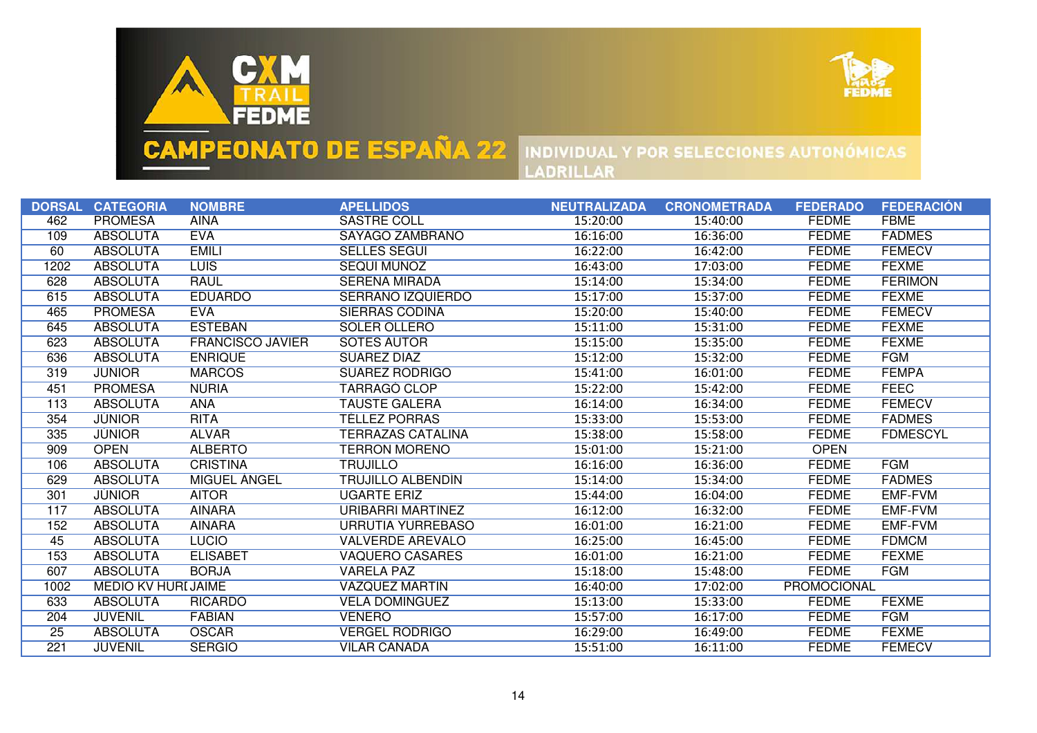



|      | DORSAL CATEGORIA          | <b>NOMBRE</b>           | <b>APELLIDOS</b>         | <b>NEUTRALIZADA</b> | <b>CRONOMETRADA</b> | <b>FEDERADO</b>    | <b>FEDERACIÓN</b> |
|------|---------------------------|-------------------------|--------------------------|---------------------|---------------------|--------------------|-------------------|
| 462  | <b>PROMESA</b>            | <b>AINA</b>             | <b>SASTRE COLL</b>       | 15:20:00            | 15:40:00            | <b>FEDME</b>       | <b>FBME</b>       |
| 109  | <b>ABSOLUTA</b>           | <b>EVA</b>              | SAYAGO ZAMBRANO          | 16:16:00            | 16:36:00            | <b>FEDME</b>       | <b>FADMES</b>     |
| 60   | <b>ABSOLUTA</b>           | <b>EMILI</b>            | <b>SELLÉS SEGUI</b>      | 16:22:00            | 16:42:00            | <b>FEDME</b>       | <b>FEMECV</b>     |
| 1202 | <b>ABSOLUTA</b>           | <b>LUIS</b>             | SEQUI MUÑOZ              | 16:43:00            | 17:03:00            | <b>FEDME</b>       | <b>FEXME</b>      |
| 628  | <b>ABSOLUTA</b>           | <b>RAUL</b>             | <b>SERENA MIRADA</b>     | 15:14:00            | 15:34:00            | <b>FEDME</b>       | <b>FERIMON</b>    |
| 615  | <b>ABSOLUTA</b>           | <b>EDUARDO</b>          | <b>SERRANO IZQUIERDO</b> | 15:17:00            | 15:37:00            | <b>FEDME</b>       | <b>FEXME</b>      |
| 465  | <b>PROMESA</b>            | <b>EVA</b>              | <b>SIERRAS CODINA</b>    | 15:20:00            | 15:40:00            | <b>FEDME</b>       | <b>FEMECV</b>     |
| 645  | <b>ABSOLUTA</b>           | <b>ESTEBAN</b>          | <b>SOLER OLLERO</b>      | 15:11:00            | 15:31:00            | <b>FEDME</b>       | <b>FEXME</b>      |
| 623  | <b>ABSOLUTA</b>           | <b>FRANCISCO JAVIER</b> | <b>SOTES AUTOR</b>       | 15:15:00            | 15:35:00            | <b>FEDME</b>       | <b>FEXME</b>      |
| 636  | <b>ABSOLUTA</b>           | <b>ENRIQUE</b>          | <b>SUAREZ DIAZ</b>       | 15:12:00            | 15:32:00            | <b>FEDME</b>       | <b>FGM</b>        |
| 319  | <b>JUNIOR</b>             | <b>MARCOS</b>           | <b>SUAREZ RODRIGO</b>    | 15:41:00            | 16:01:00            | <b>FEDME</b>       | <b>FEMPA</b>      |
| 451  | <b>PROMESA</b>            | <b>NURIA</b>            | <b>TARRAGO CLOP</b>      | 15:22:00            | 15:42:00            | <b>FEDME</b>       | <b>FEEC</b>       |
| 113  | <b>ABSOLUTA</b>           | <b>ANA</b>              | <b>TAUSTE GALERA</b>     | 16:14:00            | 16:34:00            | <b>FEDME</b>       | <b>FEMECV</b>     |
| 354  | <b>JUNIOR</b>             | <b>RITA</b>             | TÉLLEZ PORRAS            | 15:33:00            | 15:53:00            | <b>FEDME</b>       | <b>FADMES</b>     |
| 335  | <b>JUNIOR</b>             | <b>ALVAR</b>            | TERRAZAS CATALINA        | 15:38:00            | 15:58:00            | <b>FEDME</b>       | <b>FDMESCYL</b>   |
| 909  | <b>OPEN</b>               | <b>ALBERTO</b>          | TERRON MORENO            | 15:01:00            | 15:21:00            | <b>OPEN</b>        |                   |
| 106  | <b>ABSOLUTA</b>           | <b>CRISTINA</b>         | <b>TRUJILLO</b>          | 16:16:00            | 16:36:00            | <b>FEDME</b>       | <b>FGM</b>        |
| 629  | <b>ABSOLUTA</b>           | MIGUEL ANGEL            | TRUJILLO ALBENDIN        | 15:14:00            | 15:34:00            | <b>FEDME</b>       | <b>FADMES</b>     |
| 301  | <b>JUNIOR</b>             | <b>AITOR</b>            | <b>UGARTE ERIZ</b>       | 15:44:00            | 16:04:00            | <b>FEDME</b>       | <b>EMF-FVM</b>    |
| 117  | <b>ABSOLUTA</b>           | <b>AINARA</b>           | URIBARRI MARTINEZ        | 16:12:00            | 16:32:00            | <b>FEDME</b>       | <b>EMF-FVM</b>    |
| 152  | <b>ABSOLUTA</b>           | <b>AINARA</b>           | URRUTIA YURREBASO        | 16:01:00            | 16:21:00            | <b>FEDME</b>       | <b>EMF-FVM</b>    |
| 45   | <b>ABSOLUTA</b>           | <b>LUCIO</b>            | <b>VALVERDE AREVALO</b>  | 16:25:00            | 16:45:00            | <b>FEDME</b>       | <b>FDMCM</b>      |
| 153  | <b>ABSOLUTA</b>           | <b>ELISABET</b>         | <b>VAQUERO CASARES</b>   | 16:01:00            | 16:21:00            | <b>FEDME</b>       | <b>FEXME</b>      |
| 607  | <b>ABSOLUTA</b>           | <b>BORJA</b>            | <b>VARELA PAZ</b>        | 15:18:00            | 15:48:00            | <b>FEDME</b>       | <b>FGM</b>        |
| 1002 | <b>MEDIO KV HURIJAIME</b> |                         | <b>VAZQUEZ MARTIN</b>    | 16:40:00            | 17:02:00            | <b>PROMOCIONAL</b> |                   |
| 633  | <b>ABSOLUTA</b>           | <b>RICARDO</b>          | <b>VELA DOMINGUEZ</b>    | 15:13:00            | 15:33:00            | <b>FEDME</b>       | <b>FEXME</b>      |
| 204  | <b>JUVENIL</b>            | <b>FABIAN</b>           | <b>VENERO</b>            | 15:57:00            | 16:17:00            | <b>FEDME</b>       | <b>FGM</b>        |
| 25   | <b>ABSOLUTA</b>           | <b>OSCAR</b>            | <b>VERGEL RODRIGO</b>    | 16:29:00            | 16:49:00            | <b>FEDME</b>       | <b>FEXME</b>      |
| 221  | <b>JUVENIL</b>            | <b>SERGIO</b>           | <b>VILAR CAÑADA</b>      | 15:51:00            | 16:11:00            | <b>FEDME</b>       | <b>FEMECV</b>     |